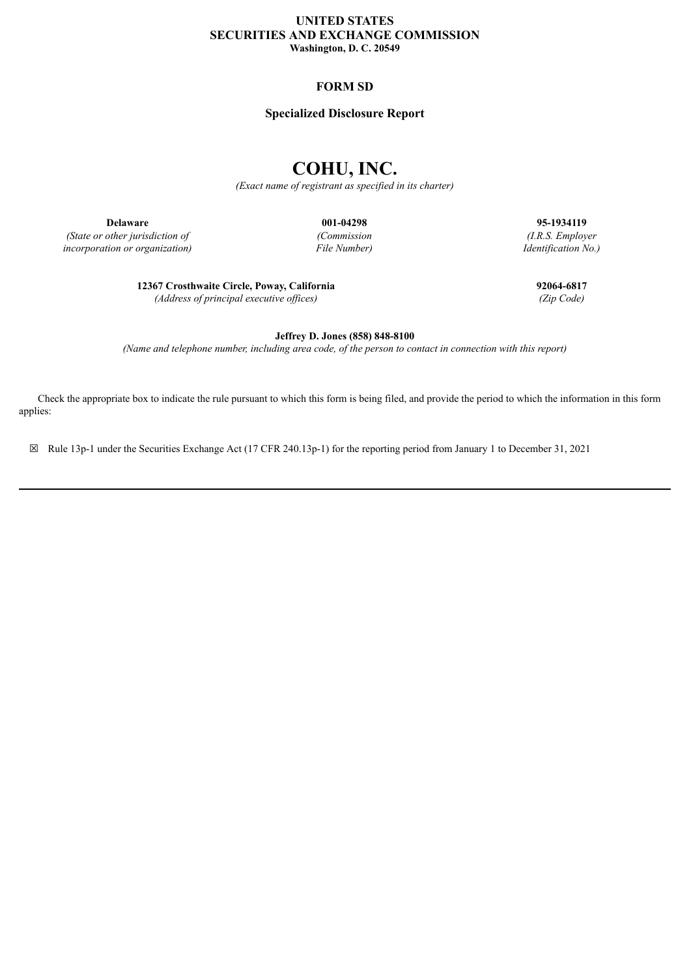## **UNITED STATES SECURITIES AND EXCHANGE COMMISSION Washington, D. C. 20549**

## **FORM SD**

## **Specialized Disclosure Report**

# **COHU, INC.**

*(Exact name of registrant as specified in its charter)*

*(State or other jurisdiction of (Commission (I.R.S. Employer incorporation or organization) File Number) Identification No.)*

**Delaware 001-04298 95-1934119**

**12367 Crosthwaite Circle, Poway, California 92064-6817** *(Address of principal executive of ices) (Zip Code)*

**Jeffrey D. Jones (858) 848-8100**

*(Name and telephone number, including area code, of the person to contact in connection with this report)*

Check the appropriate box to indicate the rule pursuant to which this form is being filed, and provide the period to which the information in this form applies:

☒ Rule 13p-1 under the Securities Exchange Act (17 CFR 240.13p-1) for the reporting period from January 1 to December 31, 2021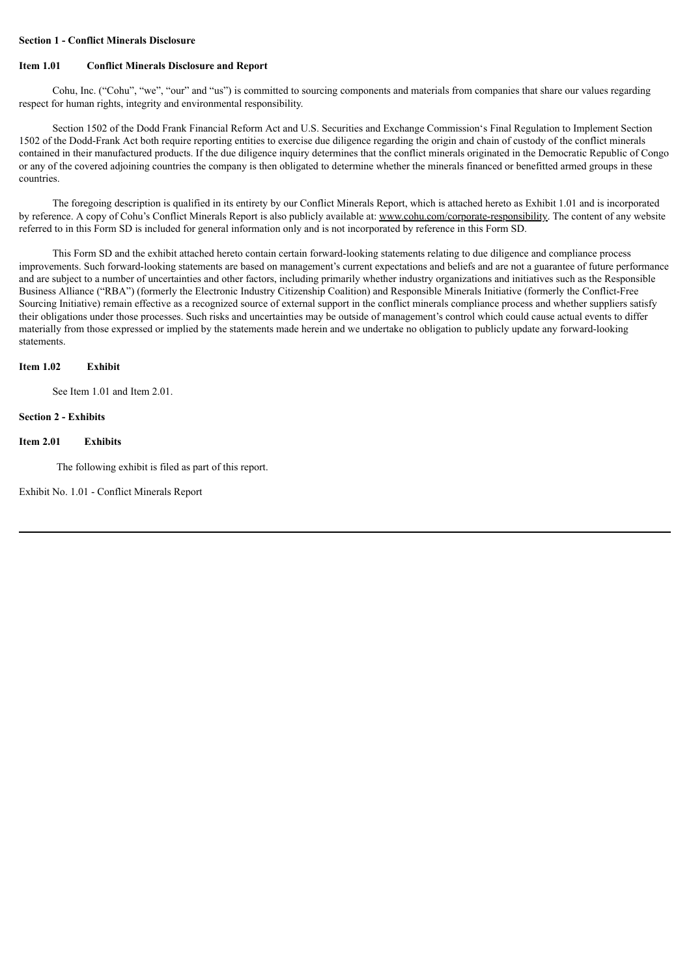## **Section 1 - Conflict Minerals Disclosure**

## **Item 1.01 Conflict Minerals Disclosure and Report**

Cohu, Inc. ("Cohu", "we", "our" and "us") is committed to sourcing components and materials from companies that share our values regarding respect for human rights, integrity and environmental responsibility.

Section 1502 of the Dodd Frank Financial Reform Act and U.S. Securities and Exchange Commission's Final Regulation to Implement Section 1502 of the Dodd-Frank Act both require reporting entities to exercise due diligence regarding the origin and chain of custody of the conflict minerals contained in their manufactured products. If the due diligence inquiry determines that the conflict minerals originated in the Democratic Republic of Congo or any of the covered adjoining countries the company is then obligated to determine whether the minerals financed or benefitted armed groups in these countries.

The foregoing description is qualified in its entirety by our Conflict Minerals Report, which is attached hereto as Exhibit 1.01 and is incorporated by reference. A copy of Cohu's Conflict Minerals Report is also publicly available at: www.cohu.com/corporate-responsibility. The content of any website referred to in this Form SD is included for general information only and is not incorporated by reference in this Form SD.

This Form SD and the exhibit attached hereto contain certain forward-looking statements relating to due diligence and compliance process improvements. Such forward-looking statements are based on management's current expectations and beliefs and are not a guarantee of future performance and are subject to a number of uncertainties and other factors, including primarily whether industry organizations and initiatives such as the Responsible Business Alliance ("RBA") (formerly the Electronic Industry Citizenship Coalition) and Responsible Minerals Initiative (formerly the Conflict-Free Sourcing Initiative) remain effective as a recognized source of external support in the conflict minerals compliance process and whether suppliers satisfy their obligations under those processes. Such risks and uncertainties may be outside of management's control which could cause actual events to differ materially from those expressed or implied by the statements made herein and we undertake no obligation to publicly update any forward-looking statements.

## **Item 1.02 Exhibit**

See Item 1.01 and Item 2.01.

#### **Section 2 - Exhibits**

#### **Item 2.01 Exhibits**

The following exhibit is filed as part of this report.

Exhibit No. 1.01 - Conflict Minerals Report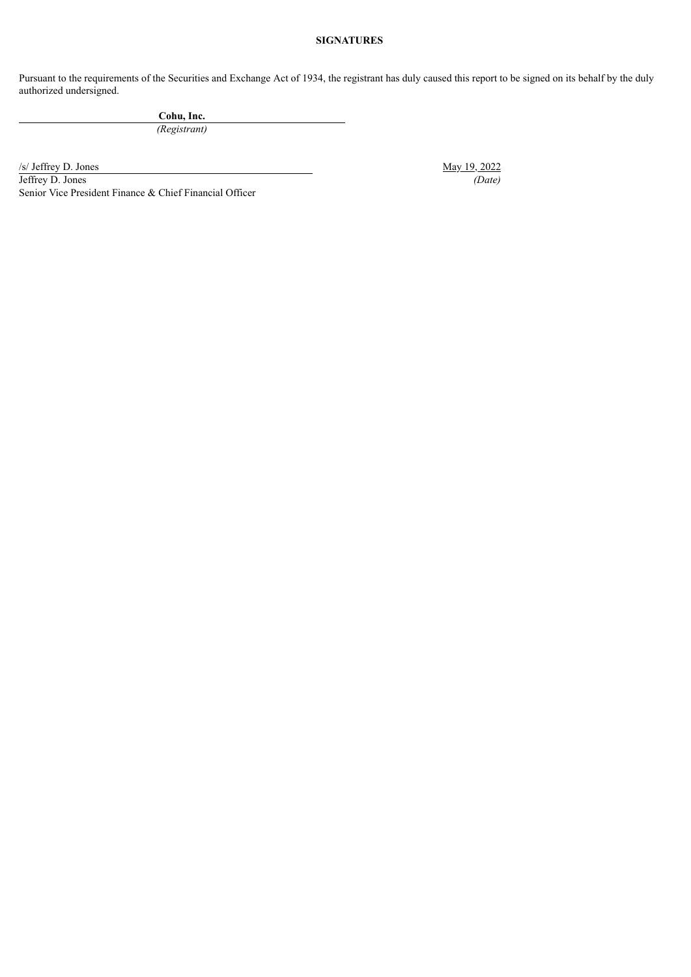# **SIGNATURES**

Pursuant to the requirements of the Securities and Exchange Act of 1934, the registrant has duly caused this report to be signed on its behalf by the duly authorized undersigned.

> **Cohu, Inc.** *(Registrant)*

 $\mu$ /s/ Jeffrey D. Jones May 19, 2022

Jeffrey D. Jones *(Date)* Senior Vice President Finance & Chief Financial Officer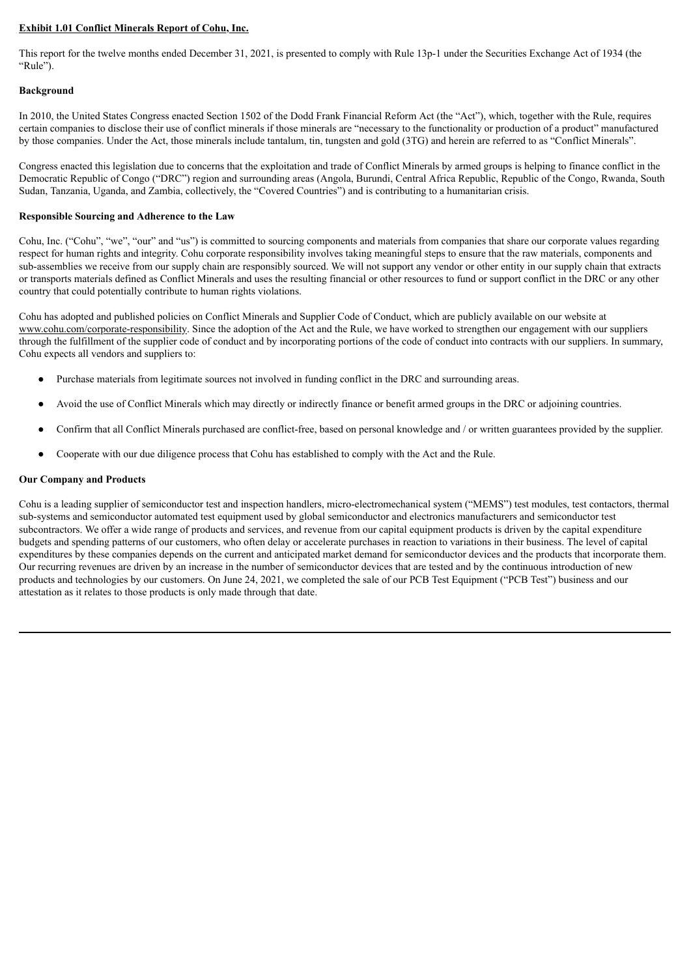## **Exhibit 1.01 Conflict Minerals Report of Cohu, Inc.**

This report for the twelve months ended December 31, 2021, is presented to comply with Rule 13p-1 under the Securities Exchange Act of 1934 (the "Rule").

## **Background**

In 2010, the United States Congress enacted Section 1502 of the Dodd Frank Financial Reform Act (the "Act"), which, together with the Rule, requires certain companies to disclose their use of conflict minerals if those minerals are "necessary to the functionality or production of a product" manufactured by those companies. Under the Act, those minerals include tantalum, tin, tungsten and gold (3TG) and herein are referred to as "Conflict Minerals".

Congress enacted this legislation due to concerns that the exploitation and trade of Conflict Minerals by armed groups is helping to finance conflict in the Democratic Republic of Congo ("DRC") region and surrounding areas (Angola, Burundi, Central Africa Republic, Republic of the Congo, Rwanda, South Sudan, Tanzania, Uganda, and Zambia, collectively, the "Covered Countries") and is contributing to a humanitarian crisis.

## **Responsible Sourcing and Adherence to the Law**

Cohu, Inc. ("Cohu", "we", "our" and "us") is committed to sourcing components and materials from companies that share our corporate values regarding respect for human rights and integrity. Cohu corporate responsibility involves taking meaningful steps to ensure that the raw materials, components and sub-assemblies we receive from our supply chain are responsibly sourced. We will not support any vendor or other entity in our supply chain that extracts or transports materials defined as Conflict Minerals and uses the resulting financial or other resources to fund or support conflict in the DRC or any other country that could potentially contribute to human rights violations.

Cohu has adopted and published policies on Conflict Minerals and Supplier Code of Conduct, which are publicly available on our website at www.cohu.com/corporate-responsibility. Since the adoption of the Act and the Rule, we have worked to strengthen our engagement with our suppliers through the fulfillment of the supplier code of conduct and by incorporating portions of the code of conduct into contracts with our suppliers. In summary, Cohu expects all vendors and suppliers to:

- Purchase materials from legitimate sources not involved in funding conflict in the DRC and surrounding areas.
- Avoid the use of Conflict Minerals which may directly or indirectly finance or benefit armed groups in the DRC or adjoining countries.
- Confirm that all Conflict Minerals purchased are conflict-free, based on personal knowledge and / or written guarantees provided by the supplier.
- Cooperate with our due diligence process that Cohu has established to comply with the Act and the Rule.

## **Our Company and Products**

Cohu is a leading supplier of semiconductor test and inspection handlers, micro-electromechanical system ("MEMS") test modules, test contactors, thermal sub-systems and semiconductor automated test equipment used by global semiconductor and electronics manufacturers and semiconductor test subcontractors. We offer a wide range of products and services, and revenue from our capital equipment products is driven by the capital expenditure budgets and spending patterns of our customers, who often delay or accelerate purchases in reaction to variations in their business. The level of capital expenditures by these companies depends on the current and anticipated market demand for semiconductor devices and the products that incorporate them. Our recurring revenues are driven by an increase in the number of semiconductor devices that are tested and by the continuous introduction of new products and technologies by our customers. On June 24, 2021, we completed the sale of our PCB Test Equipment ("PCB Test") business and our attestation as it relates to those products is only made through that date.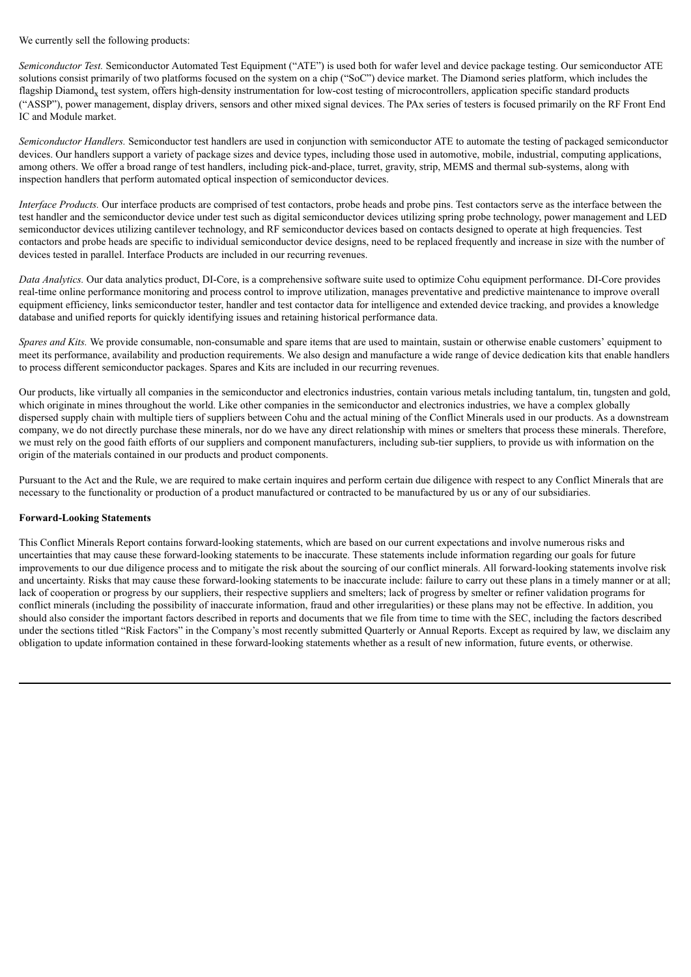We currently sell the following products:

*Semiconductor Test.* Semiconductor Automated Test Equipment ("ATE") is used both for wafer level and device package testing. Our semiconductor ATE solutions consist primarily of two platforms focused on the system on a chip ("SoC") device market. The Diamond series platform, which includes the flagship Diamond<sub>x</sub> test system, offers high-density instrumentation for low-cost testing of microcontrollers, application specific standard products ("ASSP"), power management, display drivers, sensors and other mixed signal devices. The PAx series of testers is focused primarily on the RF Front End IC and Module market.

*Semiconductor Handlers.* Semiconductor test handlers are used in conjunction with semiconductor ATE to automate the testing of packaged semiconductor devices. Our handlers support a variety of package sizes and device types, including those used in automotive, mobile, industrial, computing applications, among others. We offer a broad range of test handlers, including pick-and-place, turret, gravity, strip, MEMS and thermal sub-systems, along with inspection handlers that perform automated optical inspection of semiconductor devices.

*Interface Products.* Our interface products are comprised of test contactors, probe heads and probe pins. Test contactors serve as the interface between the test handler and the semiconductor device under test such as digital semiconductor devices utilizing spring probe technology, power management and LED semiconductor devices utilizing cantilever technology, and RF semiconductor devices based on contacts designed to operate at high frequencies. Test contactors and probe heads are specific to individual semiconductor device designs, need to be replaced frequently and increase in size with the number of devices tested in parallel. Interface Products are included in our recurring revenues.

*Data Analytics.* Our data analytics product, DI-Core, is a comprehensive software suite used to optimize Cohu equipment performance. DI-Core provides real-time online performance monitoring and process control to improve utilization, manages preventative and predictive maintenance to improve overall equipment efficiency, links semiconductor tester, handler and test contactor data for intelligence and extended device tracking, and provides a knowledge database and unified reports for quickly identifying issues and retaining historical performance data.

*Spares and Kits.* We provide consumable, non-consumable and spare items that are used to maintain, sustain or otherwise enable customers' equipment to meet its performance, availability and production requirements. We also design and manufacture a wide range of device dedication kits that enable handlers to process different semiconductor packages. Spares and Kits are included in our recurring revenues.

Our products, like virtually all companies in the semiconductor and electronics industries, contain various metals including tantalum, tin, tungsten and gold, which originate in mines throughout the world. Like other companies in the semiconductor and electronics industries, we have a complex globally dispersed supply chain with multiple tiers of suppliers between Cohu and the actual mining of the Conflict Minerals used in our products. As a downstream company, we do not directly purchase these minerals, nor do we have any direct relationship with mines or smelters that process these minerals. Therefore, we must rely on the good faith efforts of our suppliers and component manufacturers, including sub-tier suppliers, to provide us with information on the origin of the materials contained in our products and product components.

Pursuant to the Act and the Rule, we are required to make certain inquires and perform certain due diligence with respect to any Conflict Minerals that are necessary to the functionality or production of a product manufactured or contracted to be manufactured by us or any of our subsidiaries.

## **Forward-Looking Statements**

This Conflict Minerals Report contains forward-looking statements, which are based on our current expectations and involve numerous risks and uncertainties that may cause these forward-looking statements to be inaccurate. These statements include information regarding our goals for future improvements to our due diligence process and to mitigate the risk about the sourcing of our conflict minerals. All forward-looking statements involve risk and uncertainty. Risks that may cause these forward-looking statements to be inaccurate include: failure to carry out these plans in a timely manner or at all; lack of cooperation or progress by our suppliers, their respective suppliers and smelters; lack of progress by smelter or refiner validation programs for conflict minerals (including the possibility of inaccurate information, fraud and other irregularities) or these plans may not be effective. In addition, you should also consider the important factors described in reports and documents that we file from time to time with the SEC, including the factors described under the sections titled "Risk Factors" in the Company's most recently submitted Quarterly or Annual Reports. Except as required by law, we disclaim any obligation to update information contained in these forward-looking statements whether as a result of new information, future events, or otherwise.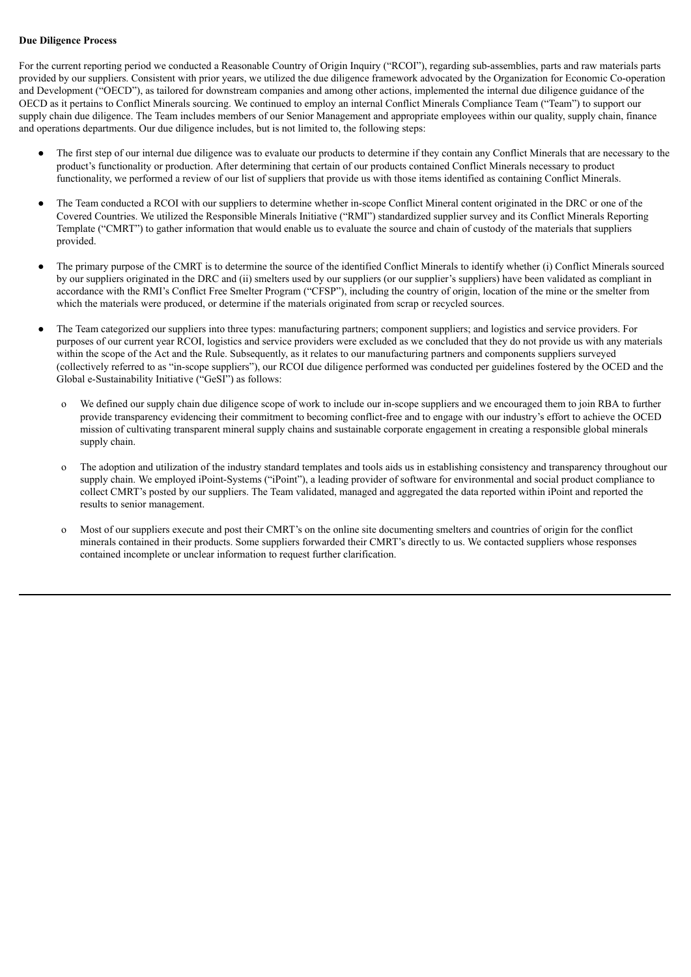## **Due Diligence Process**

For the current reporting period we conducted a Reasonable Country of Origin Inquiry ("RCOI"), regarding sub-assemblies, parts and raw materials parts provided by our suppliers. Consistent with prior years, we utilized the due diligence framework advocated by the Organization for Economic Co-operation and Development ("OECD"), as tailored for downstream companies and among other actions, implemented the internal due diligence guidance of the OECD as it pertains to Conflict Minerals sourcing. We continued to employ an internal Conflict Minerals Compliance Team ("Team") to support our supply chain due diligence. The Team includes members of our Senior Management and appropriate employees within our quality, supply chain, finance and operations departments. Our due diligence includes, but is not limited to, the following steps:

- The first step of our internal due diligence was to evaluate our products to determine if they contain any Conflict Minerals that are necessary to the product's functionality or production. After determining that certain of our products contained Conflict Minerals necessary to product functionality, we performed a review of our list of suppliers that provide us with those items identified as containing Conflict Minerals.
- The Team conducted a RCOI with our suppliers to determine whether in-scope Conflict Mineral content originated in the DRC or one of the Covered Countries. We utilized the Responsible Minerals Initiative ("RMI") standardized supplier survey and its Conflict Minerals Reporting Template ("CMRT") to gather information that would enable us to evaluate the source and chain of custody of the materials that suppliers provided.
- The primary purpose of the CMRT is to determine the source of the identified Conflict Minerals to identify whether (i) Conflict Minerals sourced by our suppliers originated in the DRC and (ii) smelters used by our suppliers (or our supplier's suppliers) have been validated as compliant in accordance with the RMI's Conflict Free Smelter Program ("CFSP"), including the country of origin, location of the mine or the smelter from which the materials were produced, or determine if the materials originated from scrap or recycled sources.
- The Team categorized our suppliers into three types: manufacturing partners; component suppliers; and logistics and service providers. For purposes of our current year RCOI, logistics and service providers were excluded as we concluded that they do not provide us with any materials within the scope of the Act and the Rule. Subsequently, as it relates to our manufacturing partners and components suppliers surveyed (collectively referred to as "in-scope suppliers"), our RCOI due diligence performed was conducted per guidelines fostered by the OCED and the Global e-Sustainability Initiative ("GeSI") as follows:
	- o We defined our supply chain due diligence scope of work to include our in-scope suppliers and we encouraged them to join RBA to further provide transparency evidencing their commitment to becoming conflict-free and to engage with our industry's effort to achieve the OCED mission of cultivating transparent mineral supply chains and sustainable corporate engagement in creating a responsible global minerals supply chain.
	- o The adoption and utilization of the industry standard templates and tools aids us in establishing consistency and transparency throughout our supply chain. We employed iPoint-Systems ("iPoint"), a leading provider of software for environmental and social product compliance to collect CMRT's posted by our suppliers. The Team validated, managed and aggregated the data reported within iPoint and reported the results to senior management.
	- Most of our suppliers execute and post their CMRT's on the online site documenting smelters and countries of origin for the conflict minerals contained in their products. Some suppliers forwarded their CMRT's directly to us. We contacted suppliers whose responses contained incomplete or unclear information to request further clarification.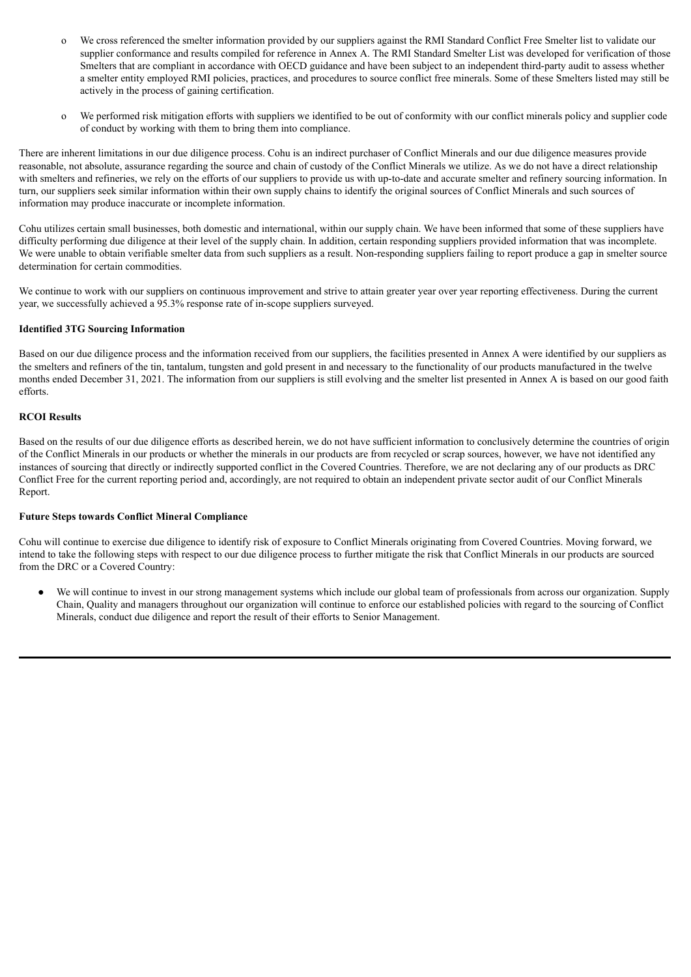- o We cross referenced the smelter information provided by our suppliers against the RMI Standard Conflict Free Smelter list to validate our supplier conformance and results compiled for reference in Annex A. The RMI Standard Smelter List was developed for verification of those Smelters that are compliant in accordance with OECD guidance and have been subject to an independent third-party audit to assess whether a smelter entity employed RMI policies, practices, and procedures to source conflict free minerals. Some of these Smelters listed may still be actively in the process of gaining certification.
- o We performed risk mitigation efforts with suppliers we identified to be out of conformity with our conflict minerals policy and supplier code of conduct by working with them to bring them into compliance.

There are inherent limitations in our due diligence process. Cohu is an indirect purchaser of Conflict Minerals and our due diligence measures provide reasonable, not absolute, assurance regarding the source and chain of custody of the Conflict Minerals we utilize. As we do not have a direct relationship with smelters and refineries, we rely on the efforts of our suppliers to provide us with up-to-date and accurate smelter and refinery sourcing information. In turn, our suppliers seek similar information within their own supply chains to identify the original sources of Conflict Minerals and such sources of information may produce inaccurate or incomplete information.

Cohu utilizes certain small businesses, both domestic and international, within our supply chain. We have been informed that some of these suppliers have difficulty performing due diligence at their level of the supply chain. In addition, certain responding suppliers provided information that was incomplete. We were unable to obtain verifiable smelter data from such suppliers as a result. Non-responding suppliers failing to report produce a gap in smelter source determination for certain commodities.

We continue to work with our suppliers on continuous improvement and strive to attain greater year over year reporting effectiveness. During the current year, we successfully achieved a 95.3% response rate of in-scope suppliers surveyed.

## **Identified 3TG Sourcing Information**

Based on our due diligence process and the information received from our suppliers, the facilities presented in Annex A were identified by our suppliers as the smelters and refiners of the tin, tantalum, tungsten and gold present in and necessary to the functionality of our products manufactured in the twelve months ended December 31, 2021. The information from our suppliers is still evolving and the smelter list presented in Annex A is based on our good faith efforts.

## **RCOI Results**

Based on the results of our due diligence efforts as described herein, we do not have sufficient information to conclusively determine the countries of origin of the Conflict Minerals in our products or whether the minerals in our products are from recycled or scrap sources, however, we have not identified any instances of sourcing that directly or indirectly supported conflict in the Covered Countries. Therefore, we are not declaring any of our products as DRC Conflict Free for the current reporting period and, accordingly, are not required to obtain an independent private sector audit of our Conflict Minerals Report.

## **Future Steps towards Conflict Mineral Compliance**

Cohu will continue to exercise due diligence to identify risk of exposure to Conflict Minerals originating from Covered Countries. Moving forward, we intend to take the following steps with respect to our due diligence process to further mitigate the risk that Conflict Minerals in our products are sourced from the DRC or a Covered Country:

We will continue to invest in our strong management systems which include our global team of professionals from across our organization. Supply Chain, Quality and managers throughout our organization will continue to enforce our established policies with regard to the sourcing of Conflict Minerals, conduct due diligence and report the result of their efforts to Senior Management.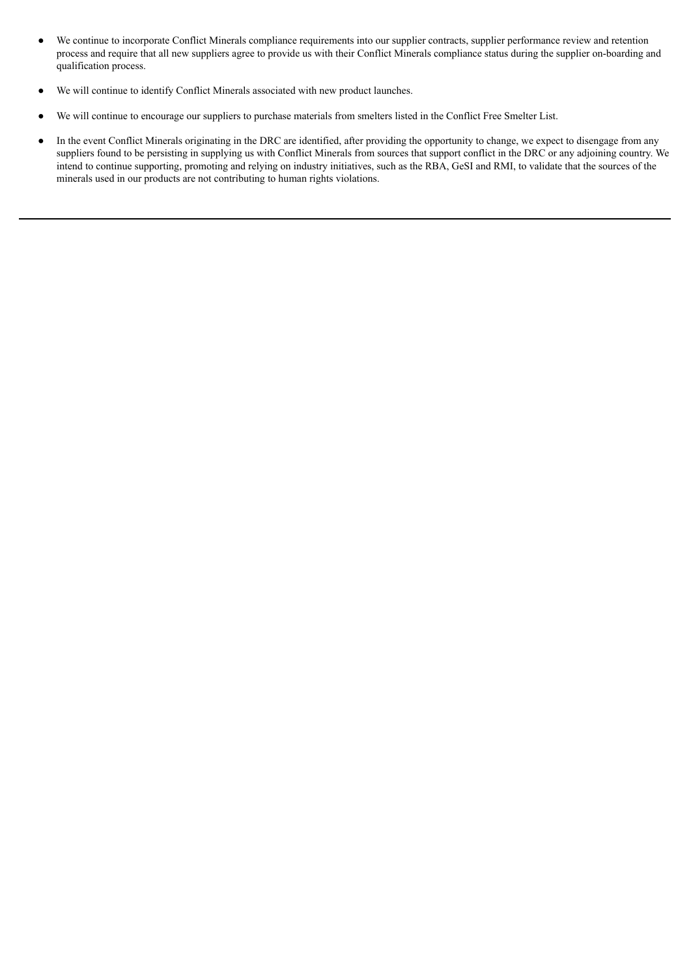- We continue to incorporate Conflict Minerals compliance requirements into our supplier contracts, supplier performance review and retention process and require that all new suppliers agree to provide us with their Conflict Minerals compliance status during the supplier on-boarding and qualification process.
- We will continue to identify Conflict Minerals associated with new product launches.
- We will continue to encourage our suppliers to purchase materials from smelters listed in the Conflict Free Smelter List.
- In the event Conflict Minerals originating in the DRC are identified, after providing the opportunity to change, we expect to disengage from any suppliers found to be persisting in supplying us with Conflict Minerals from sources that support conflict in the DRC or any adjoining country. We intend to continue supporting, promoting and relying on industry initiatives, such as the RBA, GeSI and RMI, to validate that the sources of the minerals used in our products are not contributing to human rights violations.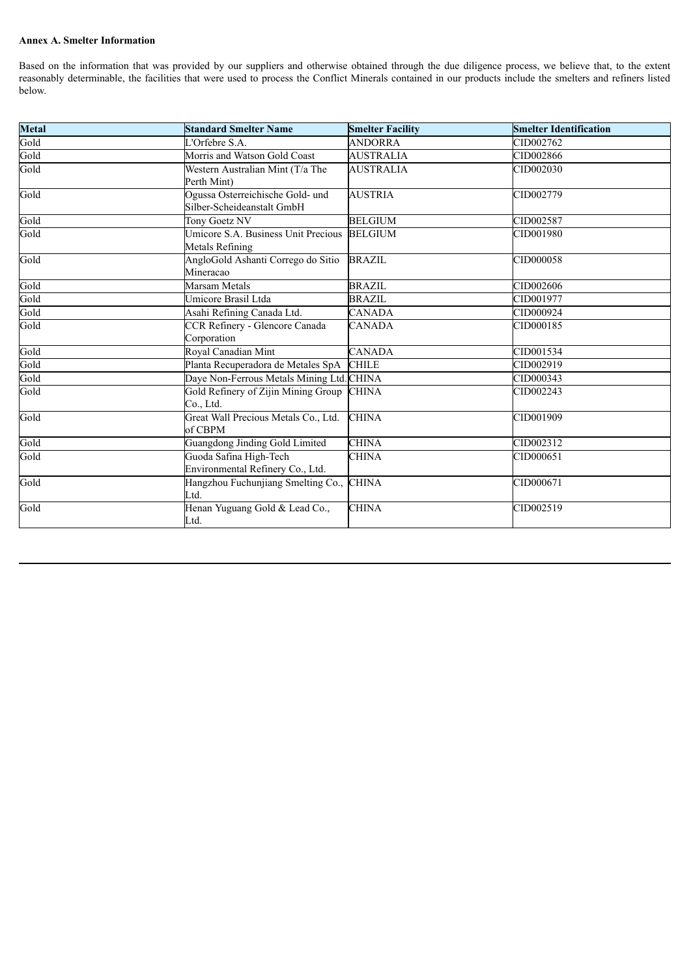## **Annex A. Smelter Information**

Based on the information that was provided by our suppliers and otherwise obtained through the due diligence process, we believe that, to the extent reasonably determinable, the facilities that were used to process the Conflict Minerals contained in our products include the smelters and refiners listed below.

| <b>Metal</b> | <b>Standard Smelter Name</b>                | <b>Smelter Facility</b> | <b>Smelter Identification</b> |
|--------------|---------------------------------------------|-------------------------|-------------------------------|
| Gold         | L'Orfebre S.A.                              | <b>ANDORRA</b>          | CID002762                     |
| Gold         | Morris and Watson Gold Coast                | <b>AUSTRALIA</b>        | CID002866                     |
| Gold         | Western Australian Mint (T/a The            | <b>AUSTRALIA</b>        | CID002030                     |
|              | Perth Mint)                                 |                         |                               |
| Gold         | Ogussa Osterreichische Gold- und            | <b>AUSTRIA</b>          | CID002779                     |
|              | Silber-Scheideanstalt GmbH                  |                         |                               |
| Gold         | Tony Goetz NV                               | <b>BELGIUM</b>          | CID002587                     |
| Gold         | Umicore S.A. Business Unit Precious BELGIUM |                         | CID001980                     |
|              | Metals Refining                             |                         |                               |
| Gold         | AngloGold Ashanti Corrego do Sitio          | <b>BRAZIL</b>           | CID000058                     |
|              | Mineracao                                   |                         |                               |
| Gold         | Marsam Metals                               | <b>BRAZIL</b>           | CID002606                     |
| Gold         | Umicore Brasil Ltda                         | <b>BRAZIL</b>           | CID001977                     |
| Gold         | Asahi Refining Canada Ltd.                  | <b>CANADA</b>           | CID000924                     |
| Gold         | CCR Refinery - Glencore Canada              | <b>CANADA</b>           | CID000185                     |
|              | Corporation                                 |                         |                               |
| Gold         | Royal Canadian Mint                         | <b>CANADA</b>           | CID001534                     |
| Gold         | Planta Recuperadora de Metales SpA          | <b>CHILE</b>            | CID002919                     |
| Gold         | Daye Non-Ferrous Metals Mining Ltd. CHINA   |                         | CID000343                     |
| Gold         | Gold Refinery of Zijin Mining Group CHINA   |                         | CID002243                     |
|              | Co., Ltd.                                   |                         |                               |
| Gold         | Great Wall Precious Metals Co., Ltd.        | <b>CHINA</b>            | CID001909                     |
|              | of CBPM                                     |                         |                               |
| Gold         | Guangdong Jinding Gold Limited              | <b>CHINA</b>            | CID002312                     |
| Gold         | Guoda Safina High-Tech                      | <b>CHINA</b>            | CID000651                     |
|              | Environmental Refinery Co., Ltd.            |                         |                               |
| Gold         | Hangzhou Fuchunjiang Smelting Co., CHINA    |                         | CID000671                     |
|              | Ltd.                                        |                         |                               |
| Gold         | Henan Yuguang Gold & Lead Co.,              | <b>CHINA</b>            | CID002519                     |
|              | Ltd.                                        |                         |                               |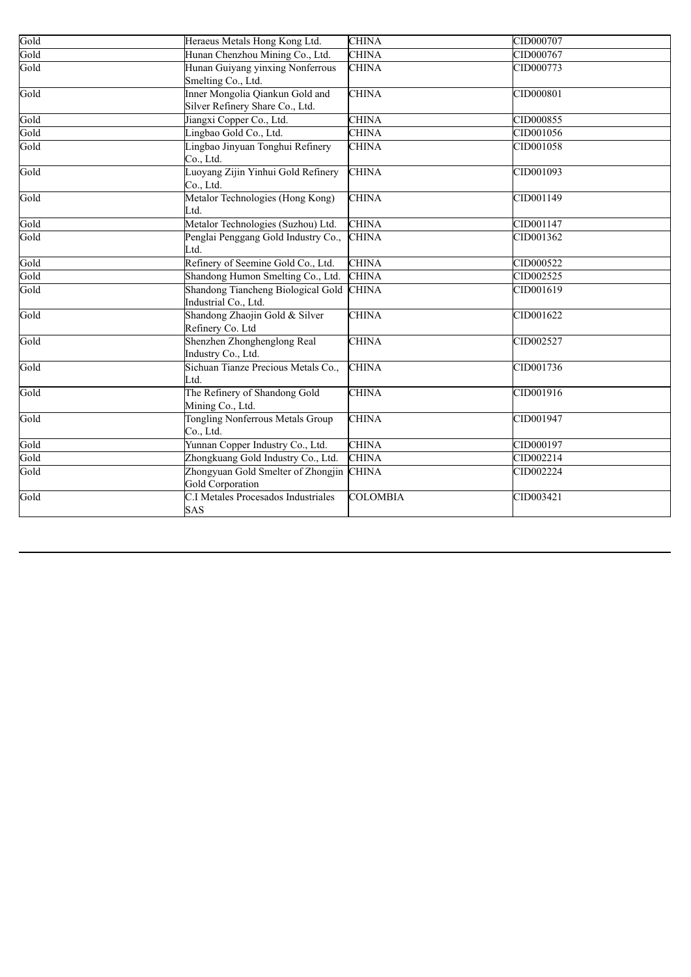| Heraeus Metals Hong Kong Ltd.                                      | <b>CHINA</b>                        | CID000707                                                |
|--------------------------------------------------------------------|-------------------------------------|----------------------------------------------------------|
| Hunan Chenzhou Mining Co., Ltd.                                    | <b>CHINA</b>                        | CID000767                                                |
| Hunan Guiyang yinxing Nonferrous<br>Smelting Co., Ltd.             | <b>CHINA</b>                        | CID000773                                                |
| Inner Mongolia Qiankun Gold and<br>Silver Refinery Share Co., Ltd. | <b>CHINA</b>                        | CID000801                                                |
| Jiangxi Copper Co., Ltd.                                           | CHINA                               | CID000855                                                |
| Lingbao Gold Co., Ltd.                                             | <b>CHINA</b>                        | CID001056                                                |
| Lingbao Jinyuan Tonghui Refinery<br>Co., Ltd.                      | <b>CHINA</b>                        | CID001058                                                |
| Luoyang Zijin Yinhui Gold Refinery<br>Co., Ltd.                    | <b>CHINA</b>                        | CID001093                                                |
| Metalor Technologies (Hong Kong)<br>Ltd.                           | <b>CHINA</b>                        | CID001149                                                |
| Metalor Technologies (Suzhou) Ltd.                                 | <b>CHINA</b>                        | CID001147                                                |
| Ltd.                                                               | <b>CHINA</b>                        | CID001362                                                |
| Refinery of Seemine Gold Co., Ltd.                                 | <b>CHINA</b>                        | CID000522                                                |
| Shandong Humon Smelting Co., Ltd.                                  | <b>CHINA</b>                        | CID002525                                                |
| Shandong Tiancheng Biological Gold<br>Industrial Co., Ltd.         |                                     | CID001619                                                |
| Shandong Zhaojin Gold & Silver<br>Refinery Co. Ltd                 | <b>CHINA</b>                        | CID001622                                                |
| Shenzhen Zhonghenglong Real<br>Industry Co., Ltd.                  | <b>CHINA</b>                        | CID002527                                                |
| Sichuan Tianze Precious Metals Co.,<br>Ltd.                        | <b>CHINA</b>                        | CID001736                                                |
| The Refinery of Shandong Gold<br>Mining Co., Ltd.                  | <b>CHINA</b>                        | CID001916                                                |
| Tongling Nonferrous Metals Group<br>Co., Ltd.                      | <b>CHINA</b>                        | CID001947                                                |
| Yunnan Copper Industry Co., Ltd.                                   | <b>CHINA</b>                        | CID000197                                                |
| Zhongkuang Gold Industry Co., Ltd.                                 | <b>CHINA</b>                        | CID002214                                                |
| <b>Gold Corporation</b>                                            |                                     | CID002224                                                |
| <b>C.I Metales Procesados Industriales</b><br><b>SAS</b>           | <b>COLOMBIA</b>                     | CID003421                                                |
|                                                                    | Penglai Penggang Gold Industry Co., | <b>CHINA</b><br>Zhongyuan Gold Smelter of Zhongjin CHINA |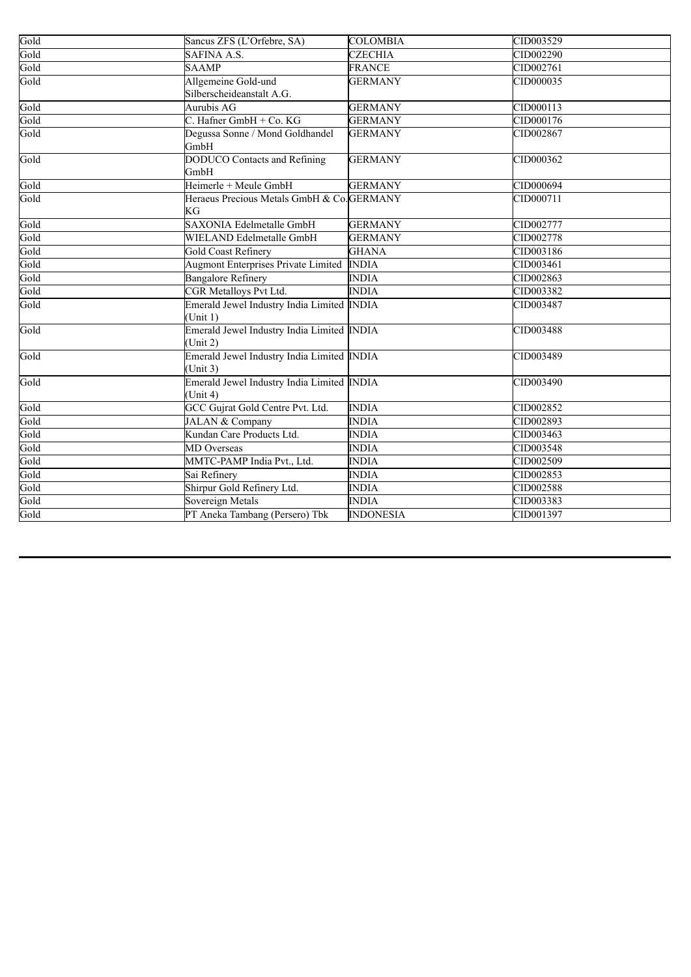| Gold | Sancus ZFS (L'Orfebre, SA)                             | <b>COLOMBIA</b>  | CID003529 |
|------|--------------------------------------------------------|------------------|-----------|
| Gold | SAFINA A.S.                                            | <b>CZECHIA</b>   | CID002290 |
| Gold | <b>SAAMP</b>                                           | <b>FRANCE</b>    | CID002761 |
| Gold | Allgemeine Gold-und<br>Silberscheideanstalt A.G.       | <b>GERMANY</b>   | CID000035 |
| Gold | Aurubis AG                                             | <b>GERMANY</b>   | CID000113 |
| Gold | $C.$ Hafner GmbH + $Co.$ KG                            | <b>GERMANY</b>   | CID000176 |
| Gold | Degussa Sonne / Mond Goldhandel<br>GmbH                | <b>GERMANY</b>   | CID002867 |
| Gold | <b>DODUCO</b> Contacts and Refining<br>GmbH            | <b>GERMANY</b>   | CID000362 |
| Gold | Heimerle + Meule GmbH                                  | <b>GERMANY</b>   | CID000694 |
| Gold | Heraeus Precious Metals GmbH & Co. GERMANY<br>KG       |                  | CID000711 |
| Gold | SAXONIA Edelmetalle GmbH                               | <b>GERMANY</b>   | CID002777 |
| Gold | WIELAND Edelmetalle GmbH                               | <b>GERMANY</b>   | CID002778 |
| Gold | Gold Coast Refinery                                    | <b>GHANA</b>     | CID003186 |
| Gold | <b>Augmont Enterprises Private Limited</b>             | <b>INDIA</b>     | CID003461 |
| Gold | <b>Bangalore Refinery</b>                              | <b>INDIA</b>     | CID002863 |
| Gold | CGR Metalloys Pvt Ltd.                                 | <b>INDIA</b>     | CID003382 |
| Gold | Emerald Jewel Industry India Limited INDIA<br>(Unit 1) |                  | CID003487 |
| Gold | Emerald Jewel Industry India Limited INDIA<br>(Unit 2) |                  | CID003488 |
| Gold | Emerald Jewel Industry India Limited INDIA<br>(Unit 3) |                  | CID003489 |
| Gold | Emerald Jewel Industry India Limited INDIA<br>(Unit 4) |                  | CID003490 |
| Gold | GCC Gujrat Gold Centre Pvt. Ltd.                       | <b>INDIA</b>     | CID002852 |
| Gold | JALAN & Company                                        | <b>INDIA</b>     | CID002893 |
| Gold | Kundan Care Products Ltd.                              | <b>INDIA</b>     | CID003463 |
| Gold | <b>MD</b> Overseas                                     | <b>INDIA</b>     | CID003548 |
| Gold | MMTC-PAMP India Pvt., Ltd.                             | <b>INDIA</b>     | CID002509 |
| Gold | Sai Refinery                                           | <b>INDIA</b>     | CID002853 |
| Gold | Shirpur Gold Refinery Ltd.                             | <b>INDIA</b>     | CID002588 |
| Gold | Sovereign Metals                                       | <b>INDIA</b>     | CID003383 |
| Gold | PT Aneka Tambang (Persero) Tbk                         | <b>INDONESIA</b> | CID001397 |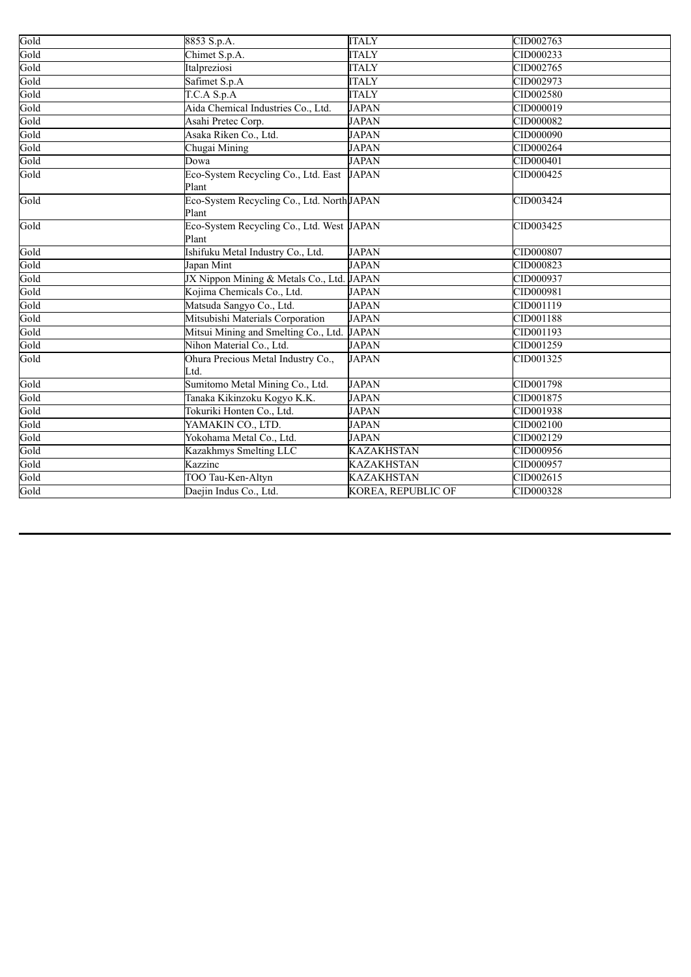| Gold | 8853 S.p.A.                                        | <b>ITALY</b>       | CID002763 |
|------|----------------------------------------------------|--------------------|-----------|
| Gold | Chimet S.p.A.                                      | <b>ITALY</b>       | CID000233 |
| Gold | Italpreziosi                                       | <b>ITALY</b>       | CID002765 |
| Gold | Safimet S.p.A                                      | <b>ITALY</b>       | CID002973 |
| Gold | T.C.A S.p.A                                        | <b>ITALY</b>       | CID002580 |
| Gold | Aida Chemical Industries Co., Ltd.                 | <b>JAPAN</b>       | CID000019 |
| Gold | Asahi Pretec Corp.                                 | <b>JAPAN</b>       | CID000082 |
| Gold | Asaka Riken Co., Ltd.                              | <b>JAPAN</b>       | CID000090 |
| Gold | Chugai Mining                                      | <b>JAPAN</b>       | CID000264 |
| Gold | Dowa                                               | <b>JAPAN</b>       | CID000401 |
| Gold | Eco-System Recycling Co., Ltd. East<br>Plant       | <b>JAPAN</b>       | CID000425 |
| Gold | Eco-System Recycling Co., Ltd. NorthJAPAN<br>Plant |                    | CID003424 |
| Gold | Eco-System Recycling Co., Ltd. West JAPAN<br>Plant |                    | CID003425 |
| Gold | Ishifuku Metal Industry Co., Ltd.                  | <b>JAPAN</b>       | CID000807 |
| Gold | Japan Mint                                         | <b>JAPAN</b>       | CID000823 |
| Gold | JX Nippon Mining & Metals Co., Ltd. JAPAN          |                    | CID000937 |
| Gold | Kojima Chemicals Co., Ltd.                         | <b>JAPAN</b>       | CID000981 |
| Gold | Matsuda Sangyo Co., Ltd.                           | <b>JAPAN</b>       | CID001119 |
| Gold | Mitsubishi Materials Corporation                   | <b>JAPAN</b>       | CID001188 |
| Gold | Mitsui Mining and Smelting Co., Ltd.               | <b>JAPAN</b>       | CID001193 |
| Gold | Nihon Material Co., Ltd.                           | <b>JAPAN</b>       | CID001259 |
| Gold | Ohura Precious Metal Industry Co.,<br>Ltd.         | <b>JAPAN</b>       | CID001325 |
| Gold | Sumitomo Metal Mining Co., Ltd.                    | <b>JAPAN</b>       | CID001798 |
| Gold | Tanaka Kikinzoku Kogyo K.K.                        | <b>JAPAN</b>       | CID001875 |
| Gold | Tokuriki Honten Co., Ltd.                          | <b>JAPAN</b>       | CID001938 |
| Gold | YAMAKIN CO., LTD.                                  | <b>JAPAN</b>       | CID002100 |
| Gold | Yokohama Metal Co., Ltd.                           | <b>JAPAN</b>       | CID002129 |
| Gold | Kazakhmys Smelting LLC                             | <b>KAZAKHSTAN</b>  | CID000956 |
| Gold | Kazzinc                                            | <b>KAZAKHSTAN</b>  | CID000957 |
| Gold | TOO Tau-Ken-Altyn                                  | <b>KAZAKHSTAN</b>  | CID002615 |
| Gold | Daejin Indus Co., Ltd.                             | KOREA, REPUBLIC OF | CID000328 |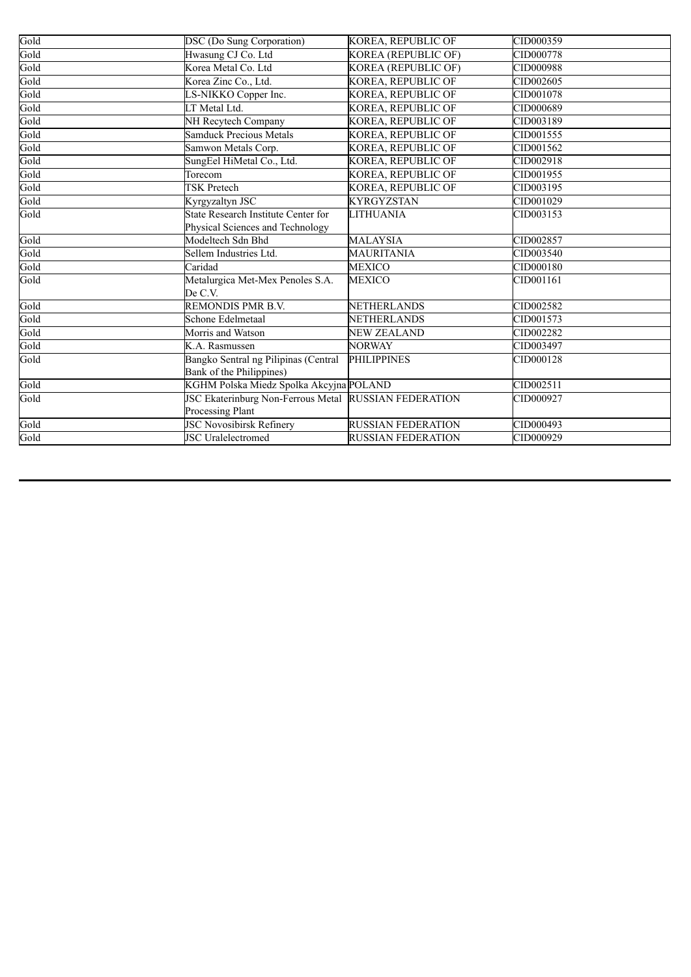| Gold | DSC (Do Sung Corporation)                                                      | KOREA, REPUBLIC OF         | CID000359 |
|------|--------------------------------------------------------------------------------|----------------------------|-----------|
| Gold | Hwasung CJ Co. Ltd                                                             | <b>KOREA (REPUBLIC OF)</b> | CID000778 |
| Gold | Korea Metal Co. Ltd                                                            | <b>KOREA (REPUBLIC OF)</b> | CID000988 |
| Gold | Korea Zinc Co., Ltd.                                                           | <b>KOREA, REPUBLIC OF</b>  | CID002605 |
| Gold | LS-NIKKO Copper Inc.                                                           | KOREA, REPUBLIC OF         | CID001078 |
| Gold | LT Metal Ltd.                                                                  | KOREA, REPUBLIC OF         | CID000689 |
| Gold | NH Recytech Company                                                            | KOREA, REPUBLIC OF         | CID003189 |
| Gold | <b>Samduck Precious Metals</b>                                                 | KOREA, REPUBLIC OF         | CID001555 |
| Gold | Samwon Metals Corp.                                                            | <b>KOREA, REPUBLIC OF</b>  | CID001562 |
| Gold | SungEel HiMetal Co., Ltd.                                                      | <b>KOREA, REPUBLIC OF</b>  | CID002918 |
| Gold | Torecom                                                                        | KOREA, REPUBLIC OF         | CID001955 |
| Gold | <b>TSK Pretech</b>                                                             | <b>KOREA, REPUBLIC OF</b>  | CID003195 |
| Gold | Kyrgyzaltyn JSC                                                                | <b>KYRGYZSTAN</b>          | CID001029 |
| Gold | <b>State Research Institute Center for</b><br>Physical Sciences and Technology | LITHUANIA                  | CID003153 |
| Gold | Modeltech Sdn Bhd                                                              | <b>MALAYSIA</b>            | CID002857 |
| Gold | Sellem Industries Ltd.                                                         | <b>MAURITANIA</b>          | CID003540 |
| Gold | Caridad                                                                        | <b>MEXICO</b>              | CID000180 |
| Gold | Metalurgica Met-Mex Penoles S.A.<br>De C.V.                                    | <b>MEXICO</b>              | CID001161 |
| Gold | <b>REMONDIS PMR B.V.</b>                                                       | <b>NETHERLANDS</b>         | CID002582 |
| Gold | Schone Edelmetaal                                                              | <b>NETHERLANDS</b>         | CID001573 |
| Gold | Morris and Watson                                                              | <b>NEW ZEALAND</b>         | CID002282 |
| Gold | K.A. Rasmussen                                                                 | <b>NORWAY</b>              | CID003497 |
| Gold | Bangko Sentral ng Pilipinas (Central<br>Bank of the Philippines)               | <b>PHILIPPINES</b>         | CID000128 |
| Gold | KGHM Polska Miedz Spolka Akcyjna POLAND                                        |                            | CID002511 |
| Gold | JSC Ekaterinburg Non-Ferrous Metal RUSSIAN FEDERATION<br>Processing Plant      |                            | CID000927 |
| Gold | <b>JSC Novosibirsk Refinery</b>                                                | <b>RUSSIAN FEDERATION</b>  | CID000493 |
| Gold | <b>JSC</b> Uralelectromed                                                      | <b>RUSSIAN FEDERATION</b>  | CID000929 |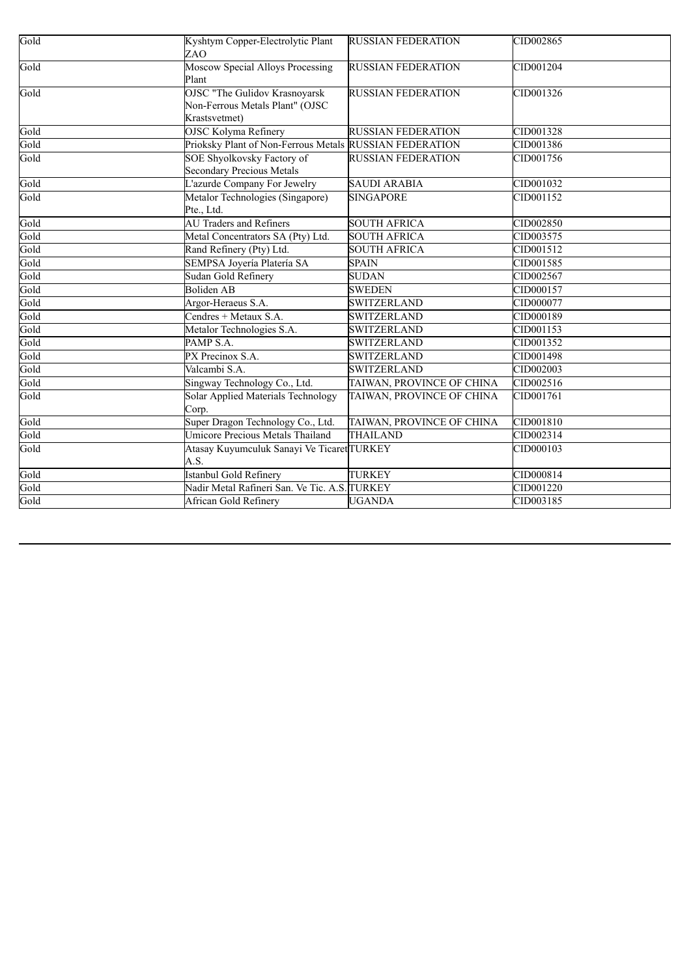| Gold | Kyshtym Copper-Electrolytic Plant<br><b>ZAO</b>                                          | <b>RUSSIAN FEDERATION</b> | CID002865 |
|------|------------------------------------------------------------------------------------------|---------------------------|-----------|
| Gold | Moscow Special Alloys Processing<br>Plant                                                | <b>RUSSIAN FEDERATION</b> | CID001204 |
| Gold | <b>OJSC "The Gulidov Krasnoyarsk</b><br>Non-Ferrous Metals Plant" (OJSC<br>Krastsvetmet) | <b>RUSSIAN FEDERATION</b> | CID001326 |
| Gold | OJSC Kolyma Refinery                                                                     | <b>RUSSIAN FEDERATION</b> | CID001328 |
| Gold | Prioksky Plant of Non-Ferrous Metals RUSSIAN FEDERATION                                  |                           | CID001386 |
| Gold | SOE Shyolkovsky Factory of<br><b>Secondary Precious Metals</b>                           | <b>RUSSIAN FEDERATION</b> | CID001756 |
| Gold | L'azurde Company For Jewelry                                                             | <b>SAUDI ARABIA</b>       | CID001032 |
| Gold | Metalor Technologies (Singapore)<br>Pte., Ltd.                                           | <b>SINGAPORE</b>          | CID001152 |
| Gold | AU Traders and Refiners                                                                  | <b>SOUTH AFRICA</b>       | CID002850 |
| Gold | Metal Concentrators SA (Pty) Ltd.                                                        | <b>SOUTH AFRICA</b>       | CID003575 |
| Gold | Rand Refinery (Pty) Ltd.                                                                 | <b>SOUTH AFRICA</b>       | CID001512 |
| Gold | SEMPSA Joyería Platería SA                                                               | <b>SPAIN</b>              | CID001585 |
| Gold | <b>Sudan Gold Refinery</b>                                                               | <b>SUDAN</b>              | CID002567 |
| Gold | <b>Boliden AB</b>                                                                        | <b>SWEDEN</b>             | CID000157 |
| Gold | Argor-Heraeus S.A.                                                                       | <b>SWITZERLAND</b>        | CID000077 |
| Gold | Cendres + Metaux S.A.                                                                    | <b>SWITZERLAND</b>        | CID000189 |
| Gold | Metalor Technologies S.A.                                                                | <b>SWITZERLAND</b>        | CID001153 |
| Gold | PAMP S.A.                                                                                | <b>SWITZERLAND</b>        | CID001352 |
| Gold | PX Precinox S.A.                                                                         | <b>SWITZERLAND</b>        | CID001498 |
| Gold | Valcambi S.A.                                                                            | <b>SWITZERLAND</b>        | CID002003 |
| Gold | Singway Technology Co., Ltd.                                                             | TAIWAN, PROVINCE OF CHINA | CID002516 |
| Gold | <b>Solar Applied Materials Technology</b><br>Corp.                                       | TAIWAN, PROVINCE OF CHINA | CID001761 |
| Gold | Super Dragon Technology Co., Ltd.                                                        | TAIWAN, PROVINCE OF CHINA | CID001810 |
| Gold | <b>Umicore Precious Metals Thailand</b>                                                  | <b>THAILAND</b>           | CID002314 |
| Gold | Atasay Kuyumculuk Sanayi Ve Ticaret TURKEY<br>A.S.                                       |                           | CID000103 |
| Gold | <b>Istanbul Gold Refinery</b>                                                            | <b>TURKEY</b>             | CID000814 |
| Gold | Nadir Metal Rafineri San. Ve Tic. A.S. TURKEY                                            |                           | CID001220 |
| Gold | African Gold Refinery                                                                    | <b>UGANDA</b>             | CID003185 |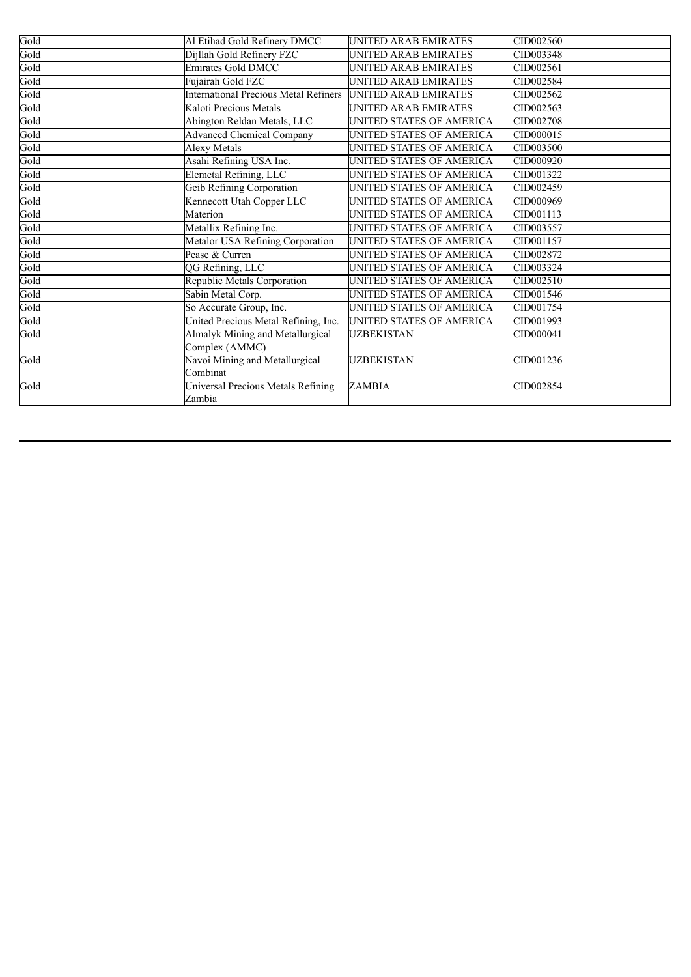| Gold | Al Etihad Gold Refinery DMCC                 | UNITED ARAB EMIRATES     | CID002560 |
|------|----------------------------------------------|--------------------------|-----------|
| Gold | Dijllah Gold Refinery FZC                    | UNITED ARAB EMIRATES     | CID003348 |
| Gold | <b>Emirates Gold DMCC</b>                    | UNITED ARAB EMIRATES     | CID002561 |
| Gold | Fujairah Gold FZC                            | UNITED ARAB EMIRATES     | CID002584 |
| Gold | <b>International Precious Metal Refiners</b> | UNITED ARAB EMIRATES     | CID002562 |
| Gold | Kaloti Precious Metals                       | UNITED ARAB EMIRATES     | CID002563 |
| Gold | Abington Reldan Metals, LLC                  | UNITED STATES OF AMERICA | CID002708 |
| Gold | <b>Advanced Chemical Company</b>             | UNITED STATES OF AMERICA | CID000015 |
| Gold | <b>Alexy Metals</b>                          | UNITED STATES OF AMERICA | CID003500 |
| Gold | Asahi Refining USA Inc.                      | UNITED STATES OF AMERICA | CID000920 |
| Gold | Elemetal Refining, LLC                       | UNITED STATES OF AMERICA | CID001322 |
| Gold | Geib Refining Corporation                    | UNITED STATES OF AMERICA | CID002459 |
| Gold | Kennecott Utah Copper LLC                    | UNITED STATES OF AMERICA | CID000969 |
| Gold | Materion                                     | UNITED STATES OF AMERICA | CID001113 |
| Gold | Metallix Refining Inc.                       | UNITED STATES OF AMERICA | CID003557 |
| Gold | Metalor USA Refining Corporation             | UNITED STATES OF AMERICA | CID001157 |
| Gold | Pease & Curren                               | UNITED STATES OF AMERICA | CID002872 |
| Gold | QG Refining, LLC                             | UNITED STATES OF AMERICA | CID003324 |
| Gold | Republic Metals Corporation                  | UNITED STATES OF AMERICA | CID002510 |
| Gold | Sabin Metal Corp.                            | UNITED STATES OF AMERICA | CID001546 |
| Gold | So Accurate Group, Inc.                      | UNITED STATES OF AMERICA | CID001754 |
| Gold | United Precious Metal Refining, Inc.         | UNITED STATES OF AMERICA | CID001993 |
| Gold | Almalyk Mining and Metallurgical             | <b>UZBEKISTAN</b>        | CID000041 |
|      | Complex (AMMC)                               |                          |           |
| Gold | Navoi Mining and Metallurgical               | <b>UZBEKISTAN</b>        | CID001236 |
|      | Combinat                                     |                          |           |
| Gold | Universal Precious Metals Refining           | ZAMBIA                   | CID002854 |
|      | Zambia                                       |                          |           |
|      |                                              |                          |           |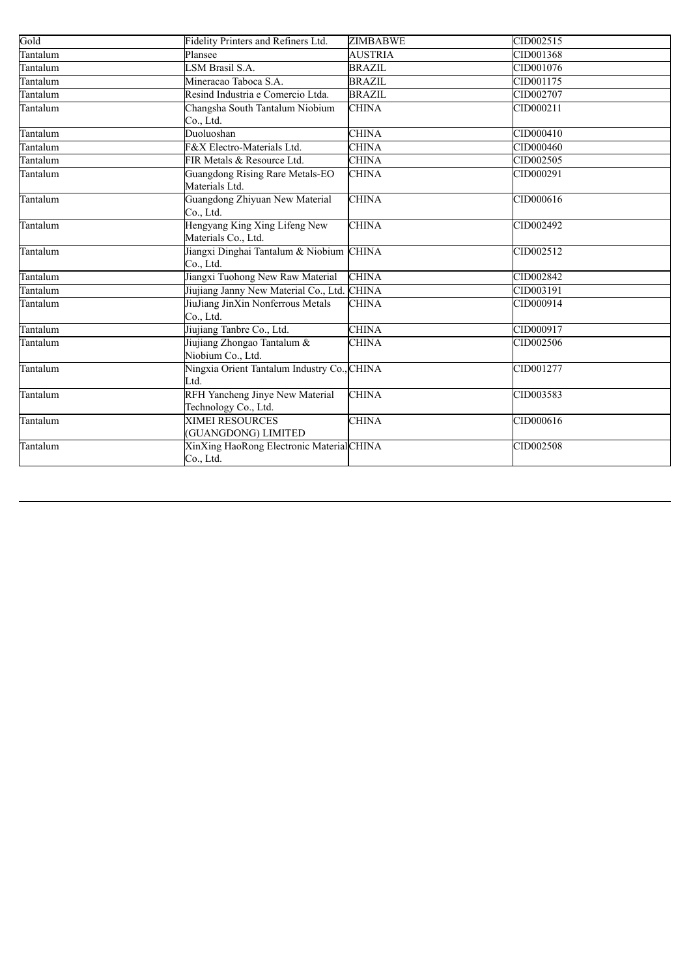| Gold     | Fidelity Printers and Refiners Ltd.                     | <b>ZIMBABWE</b> | CID002515 |
|----------|---------------------------------------------------------|-----------------|-----------|
| Tantalum | Plansee                                                 | <b>AUSTRIA</b>  | CID001368 |
| Tantalum | LSM Brasil S.A.                                         | <b>BRAZIL</b>   | CID001076 |
| Tantalum | Mineracao Taboca S.A.                                   | <b>BRAZIL</b>   | CID001175 |
| Tantalum | Resind Industria e Comercio Ltda.                       | <b>BRAZIL</b>   | CID002707 |
| Tantalum | Changsha South Tantalum Niobium<br>Co., Ltd.            | <b>CHINA</b>    | CID000211 |
| Tantalum | Duoluoshan                                              | <b>CHINA</b>    | CID000410 |
| Tantalum | F&X Electro-Materials Ltd.                              | <b>CHINA</b>    | CID000460 |
| Tantalum | FIR Metals & Resource Ltd.                              | <b>CHINA</b>    | CID002505 |
| Tantalum | Guangdong Rising Rare Metals-EO<br>Materials Ltd.       | <b>CHINA</b>    | CID000291 |
| Tantalum | Guangdong Zhiyuan New Material<br>Co., Ltd.             | <b>CHINA</b>    | CID000616 |
| Tantalum | Hengyang King Xing Lifeng New<br>Materials Co., Ltd.    | <b>CHINA</b>    | CID002492 |
| Tantalum | Jiangxi Dinghai Tantalum & Niobium CHINA<br>Co., Ltd.   |                 | CID002512 |
| Tantalum | Jiangxi Tuohong New Raw Material                        | <b>CHINA</b>    | CID002842 |
| Tantalum | Jiujiang Janny New Material Co., Ltd.                   | <b>CHINA</b>    | CID003191 |
| Tantalum | JiuJiang JinXin Nonferrous Metals<br>Co., Ltd.          | <b>CHINA</b>    | CID000914 |
| Tantalum | Jiujiang Tanbre Co., Ltd.                               | <b>CHINA</b>    | CID000917 |
| Tantalum | Jiujiang Zhongao Tantalum &<br>Niobium Co., Ltd.        | <b>CHINA</b>    | CID002506 |
| Tantalum | Ningxia Orient Tantalum Industry Co., CHINA<br>Ltd.     |                 | CID001277 |
| Tantalum | RFH Yancheng Jinye New Material<br>Technology Co., Ltd. | <b>CHINA</b>    | CID003583 |
| Tantalum | <b>XIMEI RESOURCES</b><br>(GUANGDONG) LIMITED           | <b>CHINA</b>    | CID000616 |
| Tantalum | XinXing HaoRong Electronic MaterialCHINA<br>Co., Ltd.   |                 | CID002508 |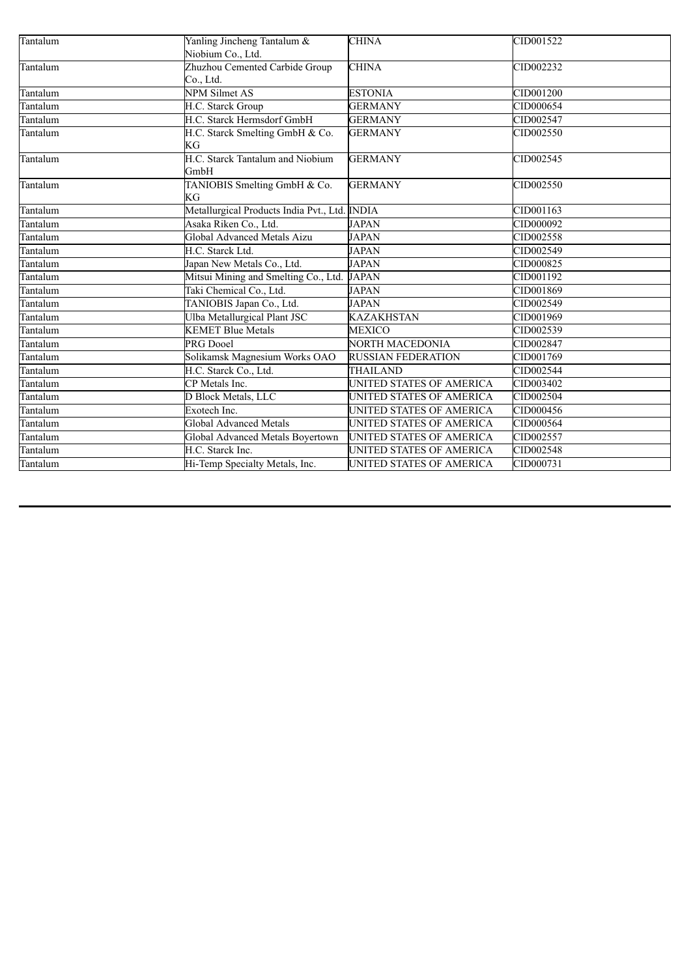| Tantalum | Yanling Jincheng Tantalum &<br>Niobium Co., Ltd. | <b>CHINA</b>              | CID001522 |
|----------|--------------------------------------------------|---------------------------|-----------|
| Tantalum | Zhuzhou Cemented Carbide Group<br>Co., Ltd.      | <b>CHINA</b>              | CID002232 |
| Tantalum | <b>NPM Silmet AS</b>                             | <b>ESTONIA</b>            | CID001200 |
| Tantalum | H.C. Starck Group                                | <b>GERMANY</b>            | CID000654 |
| Tantalum | H.C. Starck Hermsdorf GmbH                       | <b>GERMANY</b>            | CID002547 |
| Tantalum | H.C. Starck Smelting GmbH & Co.<br>KG            | <b>GERMANY</b>            | CID002550 |
| Tantalum | H.C. Starck Tantalum and Niobium<br>GmbH         | <b>GERMANY</b>            | CID002545 |
| Tantalum | TANIOBIS Smelting GmbH & Co.<br>KG               | <b>GERMANY</b>            | CID002550 |
| Tantalum | Metallurgical Products India Pvt., Ltd. INDIA    |                           | CID001163 |
| Tantalum | Asaka Riken Co., Ltd.                            | <b>JAPAN</b>              | CID000092 |
| Tantalum | Global Advanced Metals Aizu                      | <b>JAPAN</b>              | CID002558 |
| Tantalum | H.C. Starck Ltd.                                 | <b>JAPAN</b>              | CID002549 |
| Tantalum | Japan New Metals Co., Ltd.                       | <b>JAPAN</b>              | CID000825 |
| Tantalum | Mitsui Mining and Smelting Co., Ltd. JAPAN       |                           | CID001192 |
| Tantalum | Taki Chemical Co., Ltd.                          | <b>JAPAN</b>              | CID001869 |
| Tantalum | TANIOBIS Japan Co., Ltd.                         | <b>JAPAN</b>              | CID002549 |
| Tantalum | Ulba Metallurgical Plant JSC                     | <b>KAZAKHSTAN</b>         | CID001969 |
| Tantalum | <b>KEMET Blue Metals</b>                         | <b>MEXICO</b>             | CID002539 |
| Tantalum | PRG Dooel                                        | <b>NORTH MACEDONIA</b>    | CID002847 |
| Tantalum | Solikamsk Magnesium Works OAO                    | <b>RUSSIAN FEDERATION</b> | CID001769 |
| Tantalum | H.C. Starck Co., Ltd.                            | <b>THAILAND</b>           | CID002544 |
| Tantalum | CP Metals Inc.                                   | UNITED STATES OF AMERICA  | CID003402 |
| Tantalum | D Block Metals, LLC                              | UNITED STATES OF AMERICA  | CID002504 |
| Tantalum | Exotech Inc.                                     | UNITED STATES OF AMERICA  | CID000456 |
| Tantalum | <b>Global Advanced Metals</b>                    | UNITED STATES OF AMERICA  | CID000564 |
| Tantalum | Global Advanced Metals Boyertown                 | UNITED STATES OF AMERICA  | CID002557 |
| Tantalum | H.C. Starck Inc.                                 | UNITED STATES OF AMERICA  | CID002548 |
| Tantalum | Hi-Temp Specialty Metals, Inc.                   | UNITED STATES OF AMERICA  | CID000731 |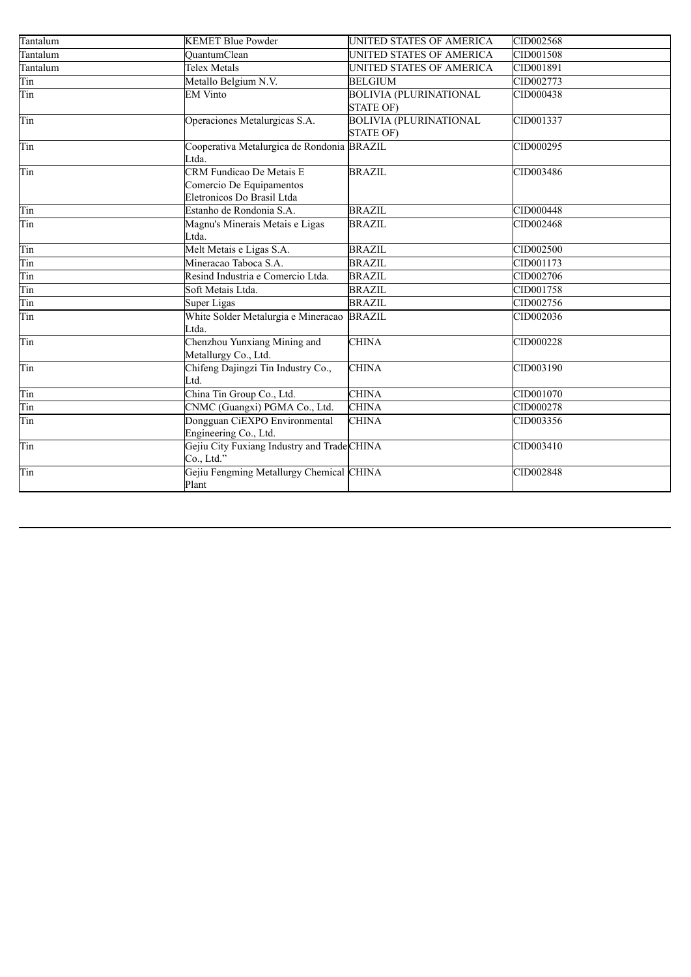| Tantalum | <b>KEMET Blue Powder</b>                                                           | UNITED STATES OF AMERICA                          | CID002568 |
|----------|------------------------------------------------------------------------------------|---------------------------------------------------|-----------|
| Tantalum | OuantumClean                                                                       | UNITED STATES OF AMERICA                          | CID001508 |
| Tantalum | <b>Telex Metals</b>                                                                | UNITED STATES OF AMERICA                          | CID001891 |
| Tin      | Metallo Belgium N.V.                                                               | <b>BELGIUM</b>                                    | CID002773 |
| Tin      | <b>EM Vinto</b>                                                                    | <b>BOLIVIA (PLURINATIONAL</b><br><b>STATE OF)</b> | CID000438 |
| Tin      | Operaciones Metalurgicas S.A.                                                      | <b>BOLIVIA (PLURINATIONAL</b><br><b>STATE OF)</b> | CID001337 |
| Tin      | Cooperativa Metalurgica de Rondonia BRAZIL<br>Ltda.                                |                                                   | CID000295 |
| Tin      | CRM Fundicao De Metais E<br>Comercio De Equipamentos<br>Eletronicos Do Brasil Ltda | <b>BRAZIL</b>                                     | CID003486 |
| Tin      | Estanho de Rondonia S.A.                                                           | <b>BRAZIL</b>                                     | CID000448 |
| Tin      | Magnu's Minerais Metais e Ligas<br>Ltda.                                           | <b>BRAZIL</b>                                     | CID002468 |
| Tin      | Melt Metais e Ligas S.A.                                                           | <b>BRAZIL</b>                                     | CID002500 |
| Tin      | Mineracao Taboca S.A.                                                              | <b>BRAZIL</b>                                     | CID001173 |
| Tin      | Resind Industria e Comercio Ltda.                                                  | <b>BRAZIL</b>                                     | CID002706 |
| Tin      | Soft Metais Ltda.                                                                  | <b>BRAZIL</b>                                     | CID001758 |
| Tin      | Super Ligas                                                                        | <b>BRAZIL</b>                                     | CID002756 |
| Tin      | White Solder Metalurgia e Mineracao<br>Ltda.                                       | <b>BRAZIL</b>                                     | CID002036 |
| Tin      | Chenzhou Yunxiang Mining and<br>Metallurgy Co., Ltd.                               | <b>CHINA</b>                                      | CID000228 |
| Tin      | Chifeng Dajingzi Tin Industry Co.,<br>Ltd.                                         | <b>CHINA</b>                                      | CID003190 |
| Tin      | China Tin Group Co., Ltd.                                                          | <b>CHINA</b>                                      | CID001070 |
| Tin      | CNMC (Guangxi) PGMA Co., Ltd.                                                      | <b>CHINA</b>                                      | CID000278 |
| Tin      | Dongguan CiEXPO Environmental<br>Engineering Co., Ltd.                             | <b>CHINA</b>                                      | CID003356 |
| Tin      | Gejiu City Fuxiang Industry and Trade CHINA<br>Co., Ltd."                          |                                                   | CID003410 |
| Tin      | Gejiu Fengming Metallurgy Chemical CHINA<br>Plant                                  |                                                   | CID002848 |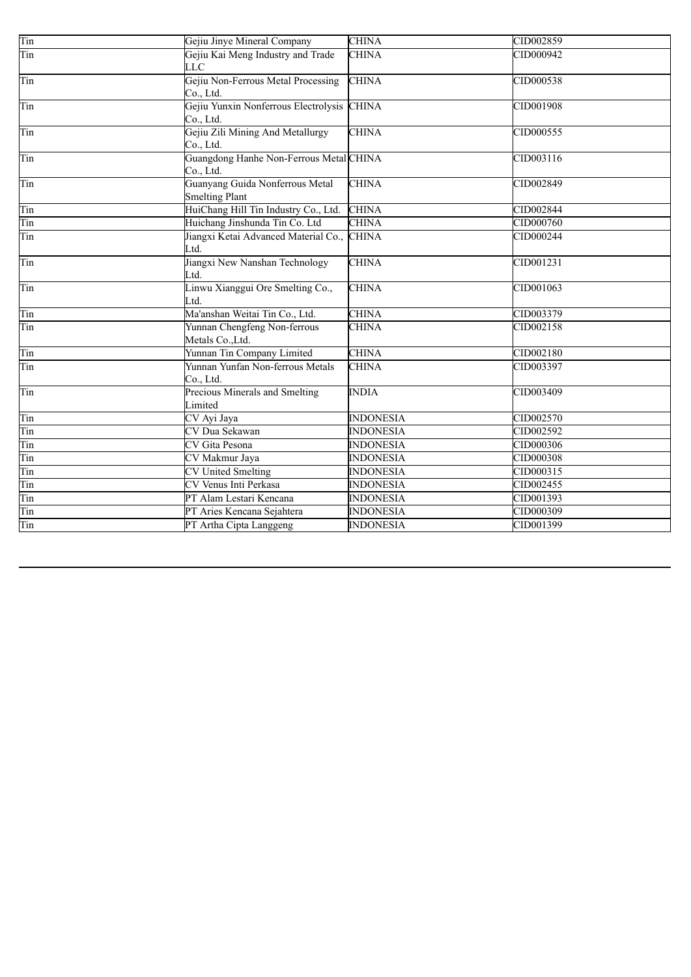| Tin  | Gejiu Jinye Mineral Company                              | <b>CHINA</b>     | CID002859 |
|------|----------------------------------------------------------|------------------|-----------|
| Tin  | Gejiu Kai Meng Industry and Trade<br>LLC                 | <b>CHINA</b>     | CID000942 |
| Tin  | Gejiu Non-Ferrous Metal Processing<br>Co., Ltd.          | <b>CHINA</b>     | CID000538 |
| Tin  | Gejiu Yunxin Nonferrous Electrolysis CHINA<br>Co., Ltd.  |                  | CID001908 |
| Tin  | Gejiu Zili Mining And Metallurgy<br>Co., Ltd.            | <b>CHINA</b>     | CID000555 |
| Tin  | Guangdong Hanhe Non-Ferrous Metal CHINA<br>Co., Ltd.     |                  | CID003116 |
| Tin  | Guanyang Guida Nonferrous Metal<br><b>Smelting Plant</b> | <b>CHINA</b>     | CID002849 |
| Tin  | HuiChang Hill Tin Industry Co., Ltd.                     | <b>CHINA</b>     | CID002844 |
| Tin  | Huichang Jinshunda Tin Co. Ltd                           | <b>CHINA</b>     | CID000760 |
| Tin  | Jiangxi Ketai Advanced Material Co., CHINA<br>Ltd.       |                  | CID000244 |
| Tin  | Jiangxi New Nanshan Technology<br>Ltd.                   | <b>CHINA</b>     | CID001231 |
| Tin  | Linwu Xianggui Ore Smelting Co.,<br>Ltd.                 | <b>CHINA</b>     | CID001063 |
| Tin  | Ma'anshan Weitai Tin Co., Ltd.                           | <b>CHINA</b>     | CID003379 |
| Tin  | Yunnan Chengfeng Non-ferrous<br>Metals Co., Ltd.         | <b>CHINA</b>     | CID002158 |
| Tin  | Yunnan Tin Company Limited                               | <b>CHINA</b>     | CID002180 |
| lTin | Yunnan Yunfan Non-ferrous Metals<br>Co., Ltd.            | <b>CHINA</b>     | CID003397 |
| Tin  | Precious Minerals and Smelting<br>Limited                | <b>INDIA</b>     | CID003409 |
| Tin  | CV Ayi Jaya                                              | <b>INDONESIA</b> | CID002570 |
| Tin  | CV Dua Sekawan                                           | <b>INDONESIA</b> | CID002592 |
| Tin  | CV Gita Pesona                                           | <b>INDONESIA</b> | CID000306 |
| Tin  | CV Makmur Jaya                                           | <b>INDONESIA</b> | CID000308 |
| Tin  | <b>CV United Smelting</b>                                | <b>INDONESIA</b> | CID000315 |
| Tin  | CV Venus Inti Perkasa                                    | <b>INDONESIA</b> | CID002455 |
| Tin  | PT Alam Lestari Kencana                                  | <b>INDONESIA</b> | CID001393 |
| Tin  | PT Aries Kencana Sejahtera                               | <b>INDONESIA</b> | CID000309 |
| Tin  | PT Artha Cipta Langgeng                                  | <b>INDONESIA</b> | CID001399 |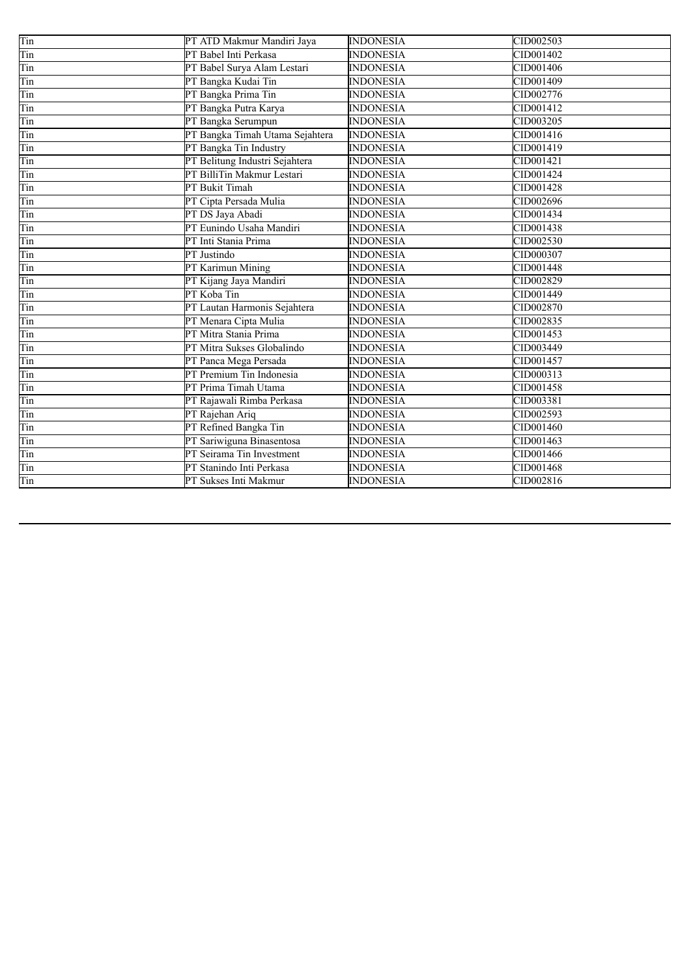| Tin | PT ATD Makmur Mandiri Jaya      | <b>INDONESIA</b> | CID002503 |
|-----|---------------------------------|------------------|-----------|
| Tin | PT Babel Inti Perkasa           | <b>INDONESIA</b> | CID001402 |
| Tin | PT Babel Surya Alam Lestari     | <b>INDONESIA</b> | CID001406 |
| Tin | PT Bangka Kudai Tin             | <b>INDONESIA</b> | CID001409 |
| Tin | PT Bangka Prima Tin             | <b>INDONESIA</b> | CID002776 |
| Tin | PT Bangka Putra Karya           | <b>INDONESIA</b> | CID001412 |
| Tin | PT Bangka Serumpun              | <b>INDONESIA</b> | CID003205 |
| Tin | PT Bangka Timah Utama Sejahtera | <b>INDONESIA</b> | CID001416 |
| Tin | PT Bangka Tin Industry          | <b>INDONESIA</b> | CID001419 |
| Tin | PT Belitung Industri Sejahtera  | <b>INDONESIA</b> | CID001421 |
| Tin | PT BilliTin Makmur Lestari      | <b>INDONESIA</b> | CID001424 |
| Tin | PT Bukit Timah                  | <b>INDONESIA</b> | CID001428 |
| Tin | PT Cipta Persada Mulia          | <b>INDONESIA</b> | CID002696 |
| Tin | PT DS Jaya Abadi                | <b>INDONESIA</b> | CID001434 |
| Tin | PT Eunindo Usaha Mandiri        | <b>INDONESIA</b> | CID001438 |
| Tin | PT Inti Stania Prima            | <b>INDONESIA</b> | CID002530 |
| Tin | PT Justindo                     | <b>INDONESIA</b> | CID000307 |
| Tin | PT Karimun Mining               | <b>INDONESIA</b> | CID001448 |
| Tin | PT Kijang Jaya Mandiri          | <b>INDONESIA</b> | CID002829 |
| Tin | PT Koba Tin                     | <b>INDONESIA</b> | CID001449 |
| Tin | PT Lautan Harmonis Sejahtera    | <b>INDONESIA</b> | CID002870 |
| Tin | PT Menara Cipta Mulia           | <b>INDONESIA</b> | CID002835 |
| Tin | PT Mitra Stania Prima           | <b>INDONESIA</b> | CID001453 |
| Tin | PT Mitra Sukses Globalindo      | <b>INDONESIA</b> | CID003449 |
| Tin | PT Panca Mega Persada           | <b>INDONESIA</b> | CID001457 |
| Tin | PT Premium Tin Indonesia        | <b>INDONESIA</b> | CID000313 |
| Tin | PT Prima Timah Utama            | <b>INDONESIA</b> | CID001458 |
| Tin | PT Rajawali Rimba Perkasa       | <b>INDONESIA</b> | CID003381 |
| Tin | PT Rajehan Ariq                 | <b>INDONESIA</b> | CID002593 |
| Tin | PT Refined Bangka Tin           | <b>INDONESIA</b> | CID001460 |
| Tin | PT Sariwiguna Binasentosa       | <b>INDONESIA</b> | CID001463 |
| Tin | PT Seirama Tin Investment       | <b>INDONESIA</b> | CID001466 |
| Tin | PT Stanindo Inti Perkasa        | <b>INDONESIA</b> | CID001468 |
| Tin | PT Sukses Inti Makmur           | <b>INDONESIA</b> | CID002816 |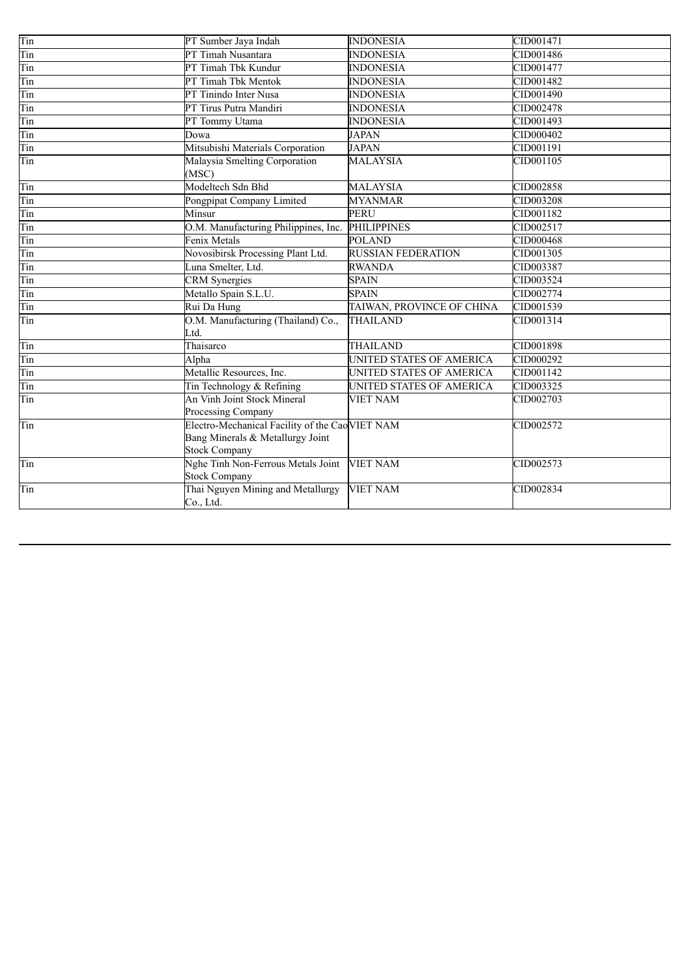| lTin | PT Sumber Jaya Indah                                                                                        | <b>INDONESIA</b>          | CID001471 |
|------|-------------------------------------------------------------------------------------------------------------|---------------------------|-----------|
| Tin  | PT Timah Nusantara                                                                                          | <b>INDONESIA</b>          | CID001486 |
| Tin  | PT Timah Tbk Kundur                                                                                         | <b>INDONESIA</b>          | CID001477 |
| Tin  | PT Timah Tbk Mentok                                                                                         | <b>INDONESIA</b>          | CID001482 |
| Tin  | PT Tinindo Inter Nusa                                                                                       | <b>INDONESIA</b>          | CID001490 |
| Tin  | PT Tirus Putra Mandiri                                                                                      | <b>INDONESIA</b>          | CID002478 |
| Tin  | PT Tommy Utama                                                                                              | <b>INDONESIA</b>          | CID001493 |
| Tin  | Dowa                                                                                                        | <b>JAPAN</b>              | CID000402 |
| Tin  | Mitsubishi Materials Corporation                                                                            | <b>JAPAN</b>              | CID001191 |
| Tin  | Malaysia Smelting Corporation<br>(MSC)                                                                      | <b>MALAYSIA</b>           | CID001105 |
| Tin  | Modeltech Sdn Bhd                                                                                           | <b>MALAYSIA</b>           | CID002858 |
| Tin  | Pongpipat Company Limited                                                                                   | <b>MYANMAR</b>            | CID003208 |
| Tin  | Minsur                                                                                                      | <b>PERU</b>               | CID001182 |
| Tin  | O.M. Manufacturing Philippines, Inc.                                                                        | <b>PHILIPPINES</b>        | CID002517 |
| Tin  | Fenix Metals                                                                                                | <b>POLAND</b>             | CID000468 |
| Tin  | Novosibirsk Processing Plant Ltd.                                                                           | <b>RUSSIAN FEDERATION</b> | CID001305 |
| Tin  | Luna Smelter, Ltd.                                                                                          | <b>RWANDA</b>             | CID003387 |
| Tin  | <b>CRM</b> Synergies                                                                                        | <b>SPAIN</b>              | CID003524 |
| Tin  | Metallo Spain S.L.U.                                                                                        | <b>SPAIN</b>              | CID002774 |
| Tin  | Rui Da Hung                                                                                                 | TAIWAN, PROVINCE OF CHINA | CID001539 |
| Tin  | O.M. Manufacturing (Thailand) Co.,<br>Ltd.                                                                  | <b>THAILAND</b>           | CID001314 |
| Tin  | Thaisarco                                                                                                   | <b>THAILAND</b>           | CID001898 |
| Tin  | Alpha                                                                                                       | UNITED STATES OF AMERICA  | CID000292 |
| Tin  | Metallic Resources, Inc.                                                                                    | UNITED STATES OF AMERICA  | CID001142 |
| Tin  | Tin Technology & Refining                                                                                   | UNITED STATES OF AMERICA  | CID003325 |
| Tin  | An Vinh Joint Stock Mineral<br>Processing Company                                                           | <b>VIET NAM</b>           | CID002703 |
| Tin  | Electro-Mechanical Facility of the Cao VIET NAM<br>Bang Minerals & Metallurgy Joint<br><b>Stock Company</b> |                           | CID002572 |
| Tin  | Nghe Tinh Non-Ferrous Metals Joint<br><b>Stock Company</b>                                                  | <b>VIET NAM</b>           | CID002573 |
| Tin  | Thai Nguyen Mining and Metallurgy<br>Co., Ltd.                                                              | <b>VIET NAM</b>           | CID002834 |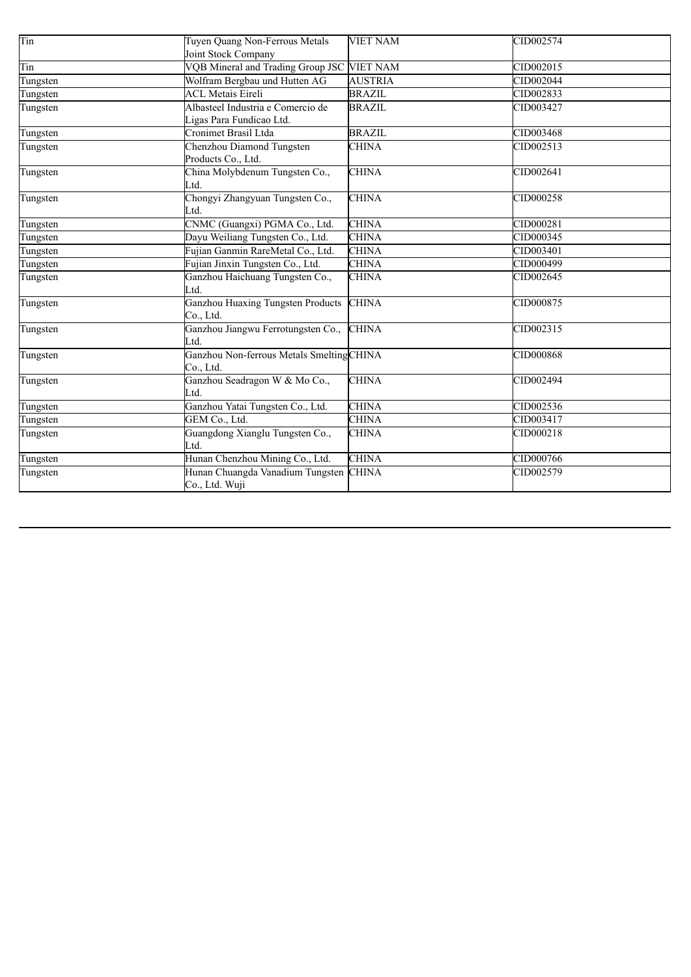| Tin      | Tuyen Quang Non-Ferrous Metals                                | <b>VIET NAM</b> | CID002574 |  |
|----------|---------------------------------------------------------------|-----------------|-----------|--|
|          | Joint Stock Company                                           |                 |           |  |
| Tin      | VQB Mineral and Trading Group JSC VIET NAM                    |                 | CID002015 |  |
| Tungsten | Wolfram Bergbau und Hutten AG                                 | <b>AUSTRIA</b>  | CID002044 |  |
| Tungsten | <b>ACL Metais Eireli</b>                                      | <b>BRAZIL</b>   | CID002833 |  |
| Tungsten | Albasteel Industria e Comercio de<br>Ligas Para Fundicao Ltd. | <b>BRAZIL</b>   | CID003427 |  |
| Tungsten | Cronimet Brasil Ltda                                          | <b>BRAZIL</b>   | CID003468 |  |
| Tungsten | Chenzhou Diamond Tungsten<br>Products Co., Ltd.               | <b>CHINA</b>    | CID002513 |  |
| Tungsten | China Molybdenum Tungsten Co.,<br>Ltd.                        | <b>CHINA</b>    | CID002641 |  |
| Tungsten | Chongyi Zhangyuan Tungsten Co.,<br>Ltd.                       | <b>CHINA</b>    | CID000258 |  |
| Tungsten | CNMC (Guangxi) PGMA Co., Ltd.                                 | <b>CHINA</b>    | CID000281 |  |
| Tungsten | Dayu Weiliang Tungsten Co., Ltd.                              | <b>CHINA</b>    | CID000345 |  |
| Tungsten | Fujian Ganmin RareMetal Co., Ltd.                             | <b>CHINA</b>    | CID003401 |  |
| Tungsten | Fujian Jinxin Tungsten Co., Ltd.                              | <b>CHINA</b>    | CID000499 |  |
| Tungsten | Ganzhou Haichuang Tungsten Co.,<br>Ltd.                       | <b>CHINA</b>    | CID002645 |  |
| Tungsten | <b>Ganzhou Huaxing Tungsten Products</b><br>Co., Ltd.         | <b>CHINA</b>    | CID000875 |  |
| Tungsten | Ganzhou Jiangwu Ferrotungsten Co.,<br>Ltd.                    | <b>CHINA</b>    | CID002315 |  |
| Tungsten | Ganzhou Non-ferrous Metals Smelting CHINA<br>Co., Ltd.        |                 | CID000868 |  |
| Tungsten | Ganzhou Seadragon W & Mo Co.,<br>Ltd.                         | <b>CHINA</b>    | CID002494 |  |
| Tungsten | Ganzhou Yatai Tungsten Co., Ltd.                              | <b>CHINA</b>    | CID002536 |  |
| Tungsten | GEM Co., Ltd.                                                 | <b>CHINA</b>    | CID003417 |  |
| Tungsten | Guangdong Xianglu Tungsten Co.,<br>Ltd.                       | <b>CHINA</b>    | CID000218 |  |
| Tungsten | Hunan Chenzhou Mining Co., Ltd.                               | <b>CHINA</b>    | CID000766 |  |
| Tungsten | Hunan Chuangda Vanadium Tungsten CHINA<br>Co., Ltd. Wuji      |                 | CID002579 |  |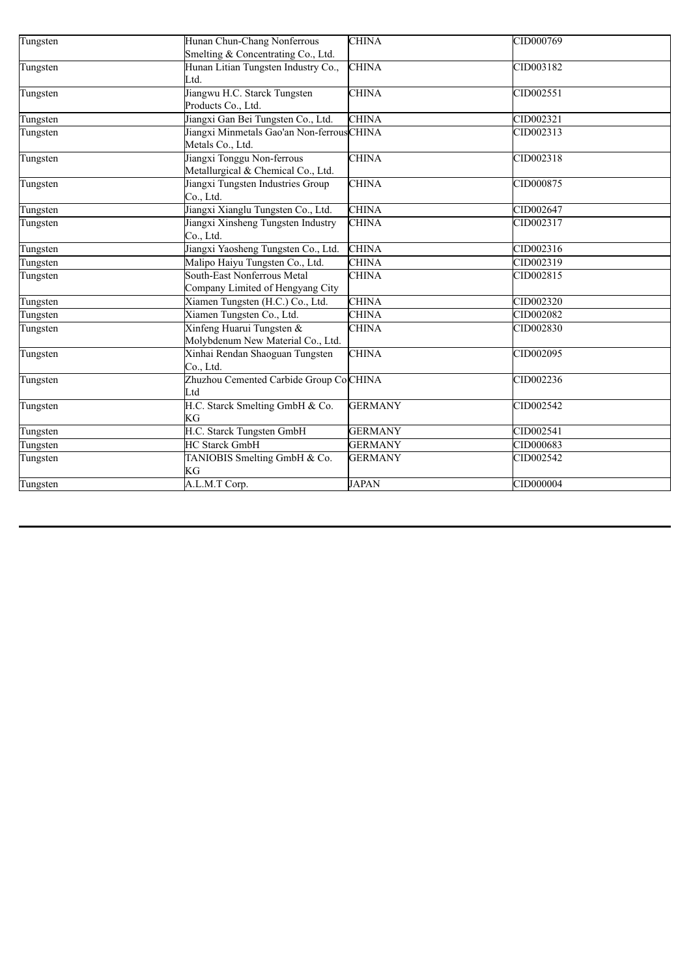| Tungsten | Hunan Chun-Chang Nonferrous<br>Smelting & Concentrating Co., Ltd. | <b>CHINA</b>   | CID000769 |
|----------|-------------------------------------------------------------------|----------------|-----------|
| Tungsten | Hunan Litian Tungsten Industry Co.,<br>Ltd.                       | <b>CHINA</b>   | CID003182 |
| Tungsten | Jiangwu H.C. Starck Tungsten<br>Products Co., Ltd.                | <b>CHINA</b>   | CID002551 |
| Tungsten | Jiangxi Gan Bei Tungsten Co., Ltd.                                | <b>CHINA</b>   | CID002321 |
| Tungsten | Jiangxi Minmetals Gao'an Non-ferrousCHINA<br>Metals Co., Ltd.     |                | CID002313 |
| Tungsten | Jiangxi Tonggu Non-ferrous<br>Metallurgical & Chemical Co., Ltd.  | <b>CHINA</b>   | CID002318 |
| Tungsten | Jiangxi Tungsten Industries Group<br>Co., Ltd.                    | <b>CHINA</b>   | CID000875 |
| Tungsten | Jiangxi Xianglu Tungsten Co., Ltd.                                | <b>CHINA</b>   | CID002647 |
| Tungsten | Jiangxi Xinsheng Tungsten Industry<br>Co., Ltd.                   | <b>CHINA</b>   | CID002317 |
| Tungsten | Jiangxi Yaosheng Tungsten Co., Ltd.                               | <b>CHINA</b>   | CID002316 |
| Tungsten | Malipo Haiyu Tungsten Co., Ltd.                                   | <b>CHINA</b>   | CID002319 |
| Tungsten | South-East Nonferrous Metal<br>Company Limited of Hengyang City   | <b>CHINA</b>   | CID002815 |
| Tungsten | Xiamen Tungsten (H.C.) Co., Ltd.                                  | <b>CHINA</b>   | CID002320 |
| Tungsten | Xiamen Tungsten Co., Ltd.                                         | <b>CHINA</b>   | CID002082 |
| Tungsten | Xinfeng Huarui Tungsten &<br>Molybdenum New Material Co., Ltd.    | <b>CHINA</b>   | CID002830 |
| Tungsten | Xinhai Rendan Shaoguan Tungsten<br>Co., Ltd.                      | <b>CHINA</b>   | CID002095 |
| Tungsten | Zhuzhou Cemented Carbide Group Co CHINA<br>Ltd                    |                | CID002236 |
| Tungsten | H.C. Starck Smelting GmbH & Co.<br>KG                             | <b>GERMANY</b> | CID002542 |
| Tungsten | H.C. Starck Tungsten GmbH                                         | <b>GERMANY</b> | CID002541 |
| Tungsten | <b>HC Starck GmbH</b>                                             | <b>GERMANY</b> | CID000683 |
| Tungsten | TANIOBIS Smelting GmbH & Co.<br>KG                                | <b>GERMANY</b> | CID002542 |
| Tungsten | A.L.M.T Corp.                                                     | <b>JAPAN</b>   | CID000004 |